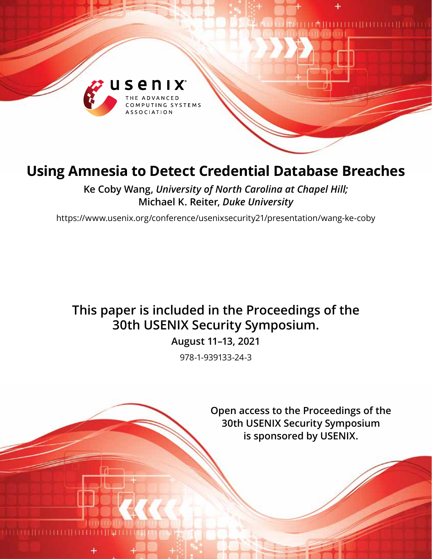

# **Using Amnesia to Detect Credential Database Breaches**

**Ke Coby Wang,** *University of North Carolina at Chapel Hill;* **Michael K. Reiter,** *Duke University*

https://www.usenix.org/conference/usenixsecurity21/presentation/wang-ke-coby

# **This paper is included in the Proceedings of the 30th USENIX Security Symposium.**

**August 11–13, 2021**

978-1-939133-24-3

**Open access to the Proceedings of the 30th USENIX Security Symposium is sponsored by USENIX.**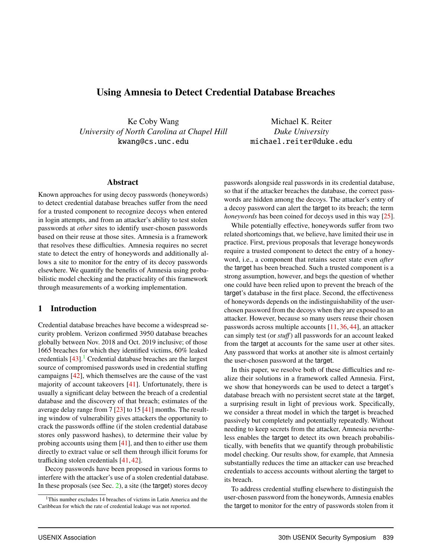# Using Amnesia to Detect Credential Database Breaches

Ke Coby Wang *University of North Carolina at Chapel Hill* kwang@cs.unc.edu

Michael K. Reiter *Duke University* michael.reiter@duke.edu

## Abstract

Known approaches for using decoy passwords (honeywords) to detect credential database breaches suffer from the need for a trusted component to recognize decoys when entered in login attempts, and from an attacker's ability to test stolen passwords at *other* sites to identify user-chosen passwords based on their reuse at those sites. Amnesia is a framework that resolves these difficulties. Amnesia requires no secret state to detect the entry of honeywords and additionally allows a site to monitor for the entry of its decoy passwords elsewhere. We quantify the benefits of Amnesia using probabilistic model checking and the practicality of this framework through measurements of a working implementation.

#### 1 Introduction

Credential database breaches have become a widespread security problem. Verizon confirmed 3950 database breaches globally between Nov. 2018 and Oct. 2019 inclusive; of those 1665 breaches for which they identified victims, 60% leaked credentials  $[43]$ <sup>[1](#page-1-0)</sup>. Credential database breaches are the largest source of compromised passwords used in credential stuffing campaigns [\[42\]](#page-17-1), which themselves are the cause of the vast majority of account takeovers [\[41\]](#page-17-2). Unfortunately, there is usually a significant delay between the breach of a credential database and the discovery of that breach; estimates of the average delay range from  $7 \left[ 23 \right]$  to 15  $\left[ 41 \right]$  months. The resulting window of vulnerability gives attackers the opportunity to crack the passwords offline (if the stolen credential database stores only password hashes), to determine their value by probing accounts using them [\[41\]](#page-17-2), and then to either use them directly to extract value or sell them through illicit forums for trafficking stolen credentials [\[41,](#page-17-2) [42\]](#page-17-1).

Decoy passwords have been proposed in various forms to interfere with the attacker's use of a stolen credential database. In these proposals (see Sec. [2\)](#page-2-0), a site (the target) stores decoy

passwords alongside real passwords in its credential database, so that if the attacker breaches the database, the correct passwords are hidden among the decoys. The attacker's entry of a decoy password can alert the target to its breach; the term *honeywords* has been coined for decoys used in this way [\[25\]](#page-16-1).

While potentially effective, honeywords suffer from two related shortcomings that, we believe, have limited their use in practice. First, previous proposals that leverage honeywords require a trusted component to detect the entry of a honeyword, i.e., a component that retains secret state even *after* the target has been breached. Such a trusted component is a strong assumption, however, and begs the question of whether one could have been relied upon to prevent the breach of the target's database in the first place. Second, the effectiveness of honeywords depends on the indistinguishability of the userchosen password from the decoys when they are exposed to an attacker. However, because so many users reuse their chosen passwords across multiple accounts [\[11,](#page-16-2) [36,](#page-17-3) [44\]](#page-17-4), an attacker can simply test (or *stuff*) all passwords for an account leaked from the target at accounts for the same user at other sites. Any password that works at another site is almost certainly the user-chosen password at the target.

In this paper, we resolve both of these difficulties and realize their solutions in a framework called Amnesia. First, we show that honeywords can be used to detect a target's database breach with no persistent secret state at the target, a surprising result in light of previous work. Specifically, we consider a threat model in which the target is breached passively but completely and potentially repeatedly. Without needing to keep secrets from the attacker, Amnesia nevertheless enables the target to detect its own breach probabilistically, with benefits that we quantify through probabilistic model checking. Our results show, for example, that Amnesia substantially reduces the time an attacker can use breached credentials to access accounts without alerting the target to its breach.

To address credential stuffing elsewhere to distinguish the user-chosen password from the honeywords, Amnesia enables the target to monitor for the entry of passwords stolen from it

<span id="page-1-0"></span><sup>&</sup>lt;sup>1</sup>This number excludes 14 breaches of victims in Latin America and the Caribbean for which the rate of credential leakage was not reported.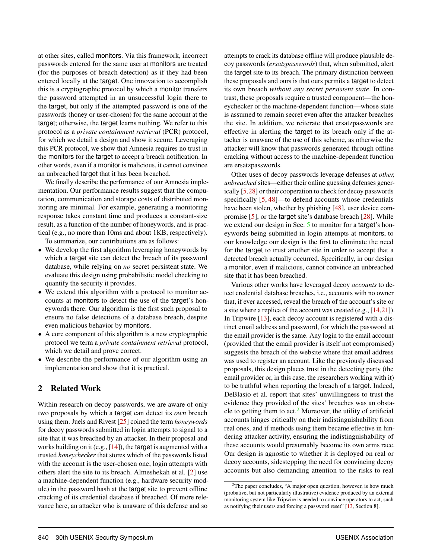at other sites, called monitors. Via this framework, incorrect passwords entered for the same user at monitors are treated (for the purposes of breach detection) as if they had been entered locally at the target. One innovation to accomplish this is a cryptographic protocol by which a monitor transfers the password attempted in an unsuccessful login there to the target, but only if the attempted password is one of the passwords (honey or user-chosen) for the same account at the target; otherwise, the target learns nothing. We refer to this protocol as a *private containment retrieval* (PCR) protocol, for which we detail a design and show it secure. Leveraging this PCR protocol, we show that Amnesia requires no trust in the monitors for the target to accept a breach notification. In other words, even if a monitor is malicious, it cannot convince an unbreached target that it has been breached.

We finally describe the performance of our Amnesia implementation. Our performance results suggest that the computation, communication and storage costs of distributed monitoring are minimal. For example, generating a monitoring response takes constant time and produces a constant-size result, as a function of the number of honeywords, and is practical (e.g., no more than 10ms and about 1KB, respectively).

To summarize, our contributions are as follows:

- We develop the first algorithm leveraging honeywords by which a target site can detect the breach of its password database, while relying on *no* secret persistent state. We evaluate this design using probabilistic model checking to quantify the security it provides.
- We extend this algorithm with a protocol to monitor accounts at monitors to detect the use of the target's honeywords there. Our algorithm is the first such proposal to ensure no false detections of a database breach, despite even malicious behavior by monitors.
- A core component of this algorithm is a new cryptographic protocol we term a *private containment retrieval* protocol, which we detail and prove correct.
- We describe the performance of our algorithm using an implementation and show that it is practical.

# <span id="page-2-0"></span>2 Related Work

Within research on decoy passwords, we are aware of only two proposals by which a target can detect its *own* breach using them. Juels and Rivest [\[25\]](#page-16-1) coined the term *honeywords* for decoy passwords submitted in login attempts to signal to a site that it was breached by an attacker. In their proposal and works building on it (e.g.,  $[14]$ ), the target is augmented with a trusted *honeychecker* that stores which of the passwords listed with the account is the user-chosen one; login attempts with others alert the site to its breach. Almeshekah et al. [\[2\]](#page-15-0) use a machine-dependent function (e.g., hardware security module) in the password hash at the target site to prevent offline cracking of its credential database if breached. Of more relevance here, an attacker who is unaware of this defense and so

attempts to crack its database offline will produce plausible decoy passwords (*ersatzpasswords*) that, when submitted, alert the target site to its breach. The primary distinction between these proposals and ours is that ours permits a target to detect its own breach *without any secret persistent state*. In contrast, these proposals require a trusted component—the honeychecker or the machine-dependent function—whose state is assumed to remain secret even after the attacker breaches the site. In addition, we reiterate that ersatzpasswords are effective in alerting the target to its breach only if the attacker is unaware of the use of this scheme, as otherwise the attacker will know that passwords generated through offline cracking without access to the machine-dependent function are ersatzpasswords.

Other uses of decoy passwords leverage defenses at *other, unbreached* sites—either their online guessing defenses generically [\[5,](#page-16-4)[28\]](#page-17-5) or their cooperation to check for decoy passwords specifically [\[5,](#page-16-4)[48\]](#page-17-6)—to defend accounts whose credentials have been stolen, whether by phishing [\[48\]](#page-17-6), user device compromise [\[5\]](#page-16-4), or the target site's database breach [\[28\]](#page-17-5). While we extend our design in Sec. [5](#page-6-0) to monitor for a target's honeywords being submitted in login attempts at monitors, to our knowledge our design is the first to eliminate the need for the target to trust another site in order to accept that a detected breach actually occurred. Specifically, in our design a monitor, even if malicious, cannot convince an unbreached site that it has been breached.

Various other works have leveraged decoy *accounts* to detect credential database breaches, i.e., accounts with no owner that, if ever accessed, reveal the breach of the account's site or a site where a replica of the account was created (e.g., [\[14,](#page-16-3)[21\]](#page-16-5)). In Tripwire [\[13\]](#page-16-6), each decoy account is registered with a distinct email address and password, for which the password at the email provider is the same. Any login to the email account (provided that the email provider is itself not compromised) suggests the breach of the website where that email address was used to register an account. Like the previously discussed proposals, this design places trust in the detecting party (the email provider or, in this case, the researchers working with it) to be truthful when reporting the breach of a target. Indeed, DeBlasio et al. report that sites' unwillingness to trust the evidence they provided of the sites' breaches was an obsta-cle to getting them to act.<sup>[2](#page-2-1)</sup> Moreover, the utility of artificial accounts hinges critically on their indistinguishability from real ones, and if methods using them became effective in hindering attacker activity, ensuring the indistinguishability of these accounts would presumably become its own arms race. Our design is agnostic to whether it is deployed on real or decoy accounts, sidestepping the need for convincing decoy accounts but also demanding attention to the risks to real

<span id="page-2-1"></span><sup>2</sup>The paper concludes, "A major open question, however, is how much (probative, but not particularly illustrative) evidence produced by an external monitoring system like Tripwire is needed to convince operators to act, such as notifying their users and forcing a password reset" [\[13,](#page-16-6) Section 8].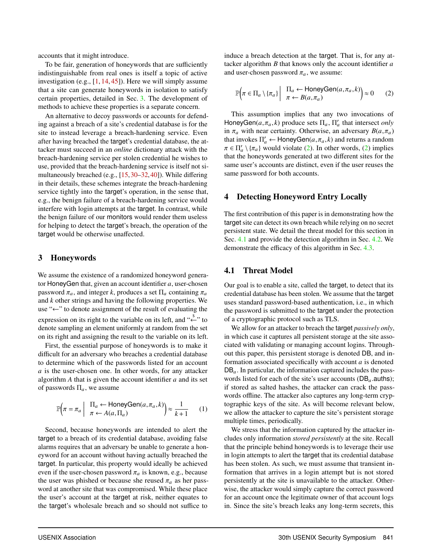accounts that it might introduce.

To be fair, generation of honeywords that are sufficiently indistinguishable from real ones is itself a topic of active investigation (e.g.,  $[1, 14, 45]$  $[1, 14, 45]$  $[1, 14, 45]$  $[1, 14, 45]$  $[1, 14, 45]$ ). Here we will simply assume that a site can generate honeywords in isolation to satisfy certain properties, detailed in Sec. [3.](#page-3-0) The development of methods to achieve these properties is a separate concern.

An alternative to decoy passwords or accounts for defending against a breach of a site's credential database is for the site to instead leverage a breach-hardening service. Even after having breached the target's credential database, the attacker must succeed in an *online* dictionary attack with the breach-hardening service per stolen credential he wishes to use, provided that the breach-hardening service is itself not simultaneously breached (e.g., [\[15,](#page-16-7)[30–](#page-17-8)[32,](#page-17-9)[40\]](#page-17-10)). While differing in their details, these schemes integrate the breach-hardening service tightly into the target's operation, in the sense that, e.g., the benign failure of a breach-hardening service would interfere with login attempts at the target. In contrast, while the benign failure of our monitors would render them useless for helping to detect the target's breach, the operation of the target would be otherwise unaffected.

#### <span id="page-3-0"></span>3 Honeywords

We assume the existence of a randomized honeyword generator HoneyGen that, given an account identifier *a*, user-chosen password  $\pi_a$ , and integer *k*, produces a set  $\Pi_a$  containing  $\pi_a$ and *k* other strings and having the following properties. We use "←" to denote assignment of the result of evaluating the expression on its right to the variable on its left, and " $\overset{\$}{\leftarrow}$ " to denote sampling an element uniformly at random from the set on its right and assigning the result to the variable on its left.

First, the essential purpose of honeywords is to make it difficult for an adversary who breaches a credential database to determine which of the passwords listed for an account *a* is the user-chosen one. In other words, for any attacker algorithm *A* that is given the account identifier *a* and its set of passwords  $\Pi_a$ , we assume

$$
\mathbb{P}\left(\pi = \pi_a \middle| \begin{array}{c} \Pi_a \leftarrow \text{HoneyGen}(a, \pi_a, k) \\ \pi \leftarrow A(a, \Pi_a) \end{array} \right) \approx \frac{1}{k+1} \qquad (1)
$$

Second, because honeywords are intended to alert the target to a breach of its credential database, avoiding false alarms requires that an adversary be unable to generate a honeyword for an account without having actually breached the target. In particular, this property would ideally be achieved even if the user-chosen password  $\pi_a$  is known, e.g., because the user was phished or because she reused  $\pi_a$  as her password at another site that was compromised. While these place the user's account at the target at risk, neither equates to the target's wholesale breach and so should not suffice to

induce a breach detection at the target. That is, for any attacker algorithm *B* that knows only the account identifier *a* and user-chosen password  $\pi_a$ , we assume:

<span id="page-3-1"></span>
$$
\mathbb{P}\Big(\pi \in \Pi_a \setminus \{\pi_a\} \Big| \begin{array}{c} \Pi_a \leftarrow \text{HomeyGen}(a, \pi_a, k) \\ \pi \leftarrow B(a, \pi_a) \end{array} \Big) \approx 0 \tag{2}
$$

This assumption implies that any two invocations of HoneyGen( $a, \pi_a, k$ ) produce sets  $\Pi_a$ ,  $\Pi'_a$  that intersect *only*<br>in  $\pi$ , with near certainty. Otherwise, an adversary  $B(a, \pi)$ in  $\pi_a$  with near certainty. Otherwise, an adversary  $B(a, \pi_a)$ that invokes  $\Pi_a' \leftarrow \text{HomeyGen}(a, \pi_a, k)$  and returns a random  $\pi \in \Pi' \setminus {\{\pi_{\text{new}}\}}$  would violate (2) In other words (2) implies  $\pi \in \Pi'_a \setminus {\pi_a}$  would violate [\(2\)](#page-3-1). In other words, (2) implies<br>that the honeywords generated at two different sites for the that the honeywords generated at two different sites for the same user's accounts are distinct, even if the user reuses the same password for both accounts.

#### <span id="page-3-3"></span>4 Detecting Honeyword Entry Locally

The first contribution of this paper is in demonstrating how the target site can detect its own breach while relying on no secret persistent state. We detail the threat model for this section in Sec. [4.1](#page-3-2) and provide the detection algorithm in Sec. [4.2.](#page-4-0) We demonstrate the efficacy of this algorithm in Sec. [4.3.](#page-5-0)

#### <span id="page-3-2"></span>4.1 Threat Model

Our goal is to enable a site, called the target, to detect that its credential database has been stolen. We assume that the target uses standard password-based authentication, i.e., in which the password is submitted to the target under the protection of a cryptographic protocol such as TLS.

We allow for an attacker to breach the target *passively only*, in which case it captures all persistent storage at the site associated with validating or managing account logins. Throughout this paper, this persistent storage is denoted DB, and information associated specifically with account *a* is denoted  $DB<sub>a</sub>$ . In particular, the information captured includes the passwords listed for each of the site's user accounts ( $DB<sub>a</sub>$ .auths); if stored as salted hashes, the attacker can crack the passwords offline. The attacker also captures any long-term cryptographic keys of the site. As will become relevant below, we allow the attacker to capture the site's persistent storage multiple times, periodically.

We stress that the information captured by the attacker includes only information *stored persistently* at the site. Recall that the principle behind honeywords is to leverage their use in login attempts to alert the target that its credential database has been stolen. As such, we must assume that transient information that arrives in a login attempt but is not stored persistently at the site is unavailable to the attacker. Otherwise, the attacker would simply capture the correct password for an account once the legitimate owner of that account logs in. Since the site's breach leaks any long-term secrets, this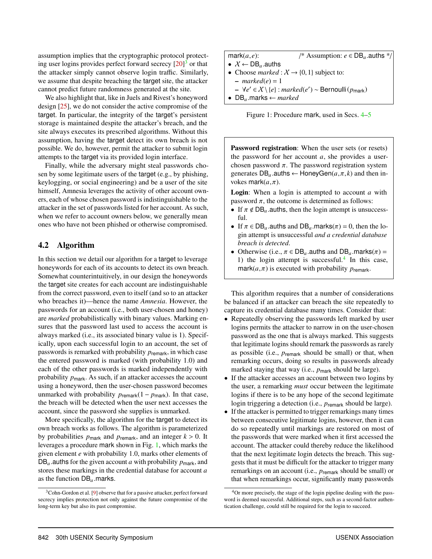assumption implies that the cryptographic protocol protecting user logins provides perfect forward secrecy  $[20]$ <sup>[3](#page-4-1)</sup> or that the attacker simply cannot observe login traffic. Similarly, we assume that despite breaching the target site, the attacker cannot predict future randomness generated at the site.

We also highlight that, like in Juels and Rivest's honeyword design [\[25\]](#page-16-1), we do not consider the active compromise of the target. In particular, the integrity of the target's persistent storage is maintained despite the attacker's breach, and the site always executes its prescribed algorithms. Without this assumption, having the target detect its own breach is not possible. We do, however, permit the attacker to submit login attempts to the target via its provided login interface.

Finally, while the adversary might steal passwords chosen by some legitimate users of the target (e.g., by phishing, keylogging, or social engineering) and be a user of the site himself, Amnesia leverages the activity of other account owners, each of whose chosen password is indistinguishable to the attacker in the set of passwords listed for her account. As such, when we refer to account owners below, we generally mean ones who have not been phished or otherwise compromised.

# <span id="page-4-0"></span>4.2 Algorithm

In this section we detail our algorithm for a target to leverage honeywords for each of its accounts to detect its own breach. Somewhat counterintuitively, in our design the honeywords the target site creates for each account are indistinguishable from the correct password, even to itself (and so to an attacker who breaches it)—hence the name *Amnesia*. However, the passwords for an account (i.e., both user-chosen and honey) are *marked* probabilistically with binary values. Marking ensures that the password last used to access the account is always marked (i.e., its associated binary value is 1). Specifically, upon each successful login to an account, the set of passwords is remarked with probability *p*remark, in which case the entered password is marked (with probability <sup>1</sup>.0) and each of the other passwords is marked independently with probability  $p_{\text{mark}}$ . As such, if an attacker accesses the account using a honeyword, then the user-chosen password becomes unmarked with probability  $p_{\text{remark}}(1 - p_{\text{mark}})$ . In that case, the breach will be detected when the user next accesses the account, since the password she supplies is unmarked.

More specifically, the algorithm for the target to detect its own breach works as follows. The algorithm is parameterized by probabilities  $p_{\text{mark}}$  and  $p_{\text{remark}}$ , and an integer  $k > 0$ . It leverages a procedure mark shown in Fig. [1,](#page-4-2) which marks the given element *<sup>e</sup>* with probability <sup>1</sup>.0, marks other elements of DB<sub>a</sub> auths for the given account *a* with probability  $p_{\text{mark}}$ , and stores these markings in the credential database for account *a* as the function DB*<sup>a</sup>* .marks.

<span id="page-4-2"></span>

| mark $(a,e)$ :                                                | /* Assumption: $e \in DB_a$ auths */                                       |
|---------------------------------------------------------------|----------------------------------------------------------------------------|
| • $X \leftarrow DB_a$ auths                                   |                                                                            |
| • Choose <i>marked</i> : $X \rightarrow \{0, 1\}$ subject to: |                                                                            |
| $-$ marked(e) = 1                                             |                                                                            |
|                                                               | $- \forall e' \in X \setminus \{e\} : marked(e') \sim Bernoulli(p_{mark})$ |
| • $DB_a$ .marks $\leftarrow$ marked                           |                                                                            |

Figure 1: Procedure mark, used in Secs. [4](#page-3-3)[–5](#page-6-0)

Password registration: When the user sets (or resets) the password for her account *a*, she provides a userchosen password  $\pi$ . The password registration system generates  $DB_a$  auths  $\leftarrow$  HoneyGen $(a, \pi, k)$  and then invokes mark $(a,\pi)$ .

Login: When a login is attempted to account *a* with password  $\pi$ , the outcome is determined as follows:

- If  $\pi \notin DB_a$  auths, then the login attempt is unsuccessful.
- If  $\pi \in DB_a$  auths and  $DB_a$  marks( $\pi$ ) = 0, then the login attempt is unsuccessful *and a credential database breach is detected*.
- Otherwise (i.e.,  $\pi \in DB_a$  auths and  $DB_a$  marks( $\pi$ ) = 1) the login attempt is successful. $4$  In this case, mark $(a, \pi)$  is executed with probability  $p_{\text{remark}}$ .

This algorithm requires that a number of considerations be balanced if an attacker can breach the site repeatedly to capture its credential database many times. Consider that:

- Repeatedly observing the passwords left marked by user logins permits the attacker to narrow in on the user-chosen password as the one that is always marked. This suggests that legitimate logins should remark the passwords as rarely as possible (i.e., *p*remark should be small) or that, when remarking occurs, doing so results in passwords already marked staying that way (i.e.,  $p_{\text{mark}}$  should be large).
- If the attacker accesses an account between two logins by the user, a remarking *must* occur between the legitimate logins if there is to be any hope of the second legitimate login triggering a detection (i.e., *p*remark should be large).
- If the attacker is permitted to trigger remarkings many times between consecutive legitimate logins, however, then it can do so repeatedly until markings are restored on most of the passwords that were marked when it first accessed the account. The attacker could thereby reduce the likelihood that the next legitimate login detects the breach. This suggests that it must be difficult for the attacker to trigger many remarkings on an account (i.e., *p*remark should be small) or that when remarkings occur, significantly many passwords

<span id="page-4-1"></span><sup>&</sup>lt;sup>3</sup>Cohn-Gordon et al. [\[9\]](#page-16-9) observe that for a passive attacker, perfect forward secrecy implies protection not only against the future compromise of the long-term key but also its past compromise.

<span id="page-4-3"></span><sup>4</sup>Or more precisely, the stage of the login pipeline dealing with the password is deemed successful. Additional steps, such as a second-factor authentication challenge, could still be required for the login to succeed.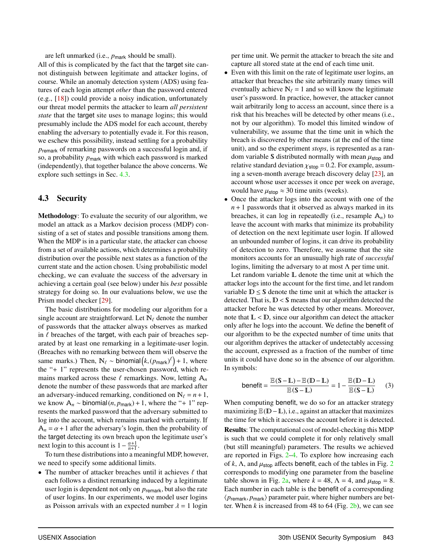are left unmarked (i.e.,  $p_{\text{mark}}$  should be small).

All of this is complicated by the fact that the target site cannot distinguish between legitimate and attacker logins, of course. While an anomaly detection system (ADS) using features of each login attempt *other* than the password entered (e.g., [\[18\]](#page-16-10)) could provide a noisy indication, unfortunately our threat model permits the attacker to learn *all persistent state* that the target site uses to manage logins; this would presumably include the ADS model for each account, thereby enabling the adversary to potentially evade it. For this reason, we eschew this possibility, instead settling for a probability *p*<sub>remark</sub> of remarking passwords on a successful login and, if so, a probability *p*mark with which each password is marked (independently), that together balance the above concerns. We explore such settings in Sec. [4.3.](#page-5-0)

## <span id="page-5-0"></span>4.3 Security

Methodology: To evaluate the security of our algorithm, we model an attack as a Markov decision process (MDP) consisting of a set of states and possible transitions among them. When the MDP is in a particular state, the attacker can choose from a set of available actions, which determines a probability distribution over the possible next states as a function of the current state and the action chosen. Using probabilistic model checking, we can evaluate the success of the adversary in achieving a certain goal (see below) under his *best* possible strategy for doing so. In our evaluations below, we use the Prism model checker [\[29\]](#page-17-11).

The basic distributions for modeling our algorithm for a single account are straightforward. Let  $\mathbb{N}_{\ell}$  denote the number of passwords that the attacker always observes as marked in  $\ell$  breaches of the target, with each pair of breaches separated by at least one remarking in a legitimate-user login. (Breaches with no remarking between them will observe the same marks.) Then,  $\mathbb{N}_{\ell} \sim \text{binomial}\big(k, (p_{\text{mark}})^{\ell}\big) + 1$ , where the "+ 1" represents the user-chosen password, which rethe "+ 1" represents the user-chosen password, which remains marked across these  $\ell$  remarkings. Now, letting  $A_n$ denote the number of these passwords that are marked after an adversary-induced remarking, conditioned on  $N_\ell = n + 1$ , we know  $A_n \sim \text{binomial}(n, p_{\text{mark}}) + 1$ , where the "+ 1" represents the marked password that the adversary submitted to log into the account, which remains marked with certainty. If  $A_n = \alpha + 1$  after the adversary's login, then the probability of the target detecting its own breach upon the legitimate user's next login to this account is  $1 - \frac{\alpha+1}{n+1}$ .

To turn these distributions into a meaningful MDP, however, we need to specify some additional limits.

• The number of attacker breaches until it achieves  $\ell$  that each follows a distinct remarking induced by a legitimate user login is dependent not only on *p*remark, but also the rate of user logins. In our experiments, we model user logins as Poisson arrivals with an expected number  $\lambda = 1$  login per time unit. We permit the attacker to breach the site and capture all stored state at the end of each time unit.

- Even with this limit on the rate of legitimate user logins, an attacker that breaches the site arbitrarily many times will eventually achieve  $N_\ell = 1$  and so will know the legitimate user's password. In practice, however, the attacker cannot wait arbitrarily long to access an account, since there is a risk that his breaches will be detected by other means (i.e., not by our algorithm). To model this limited window of vulnerability, we assume that the time unit in which the breach is discovered by other means (at the end of the time unit), and so the experiment *stops*, is represented as a random variable S distributed normally with mean  $\mu_{\text{stop}}$  and relative standard deviation  $\chi_{\text{stop}} = 0.2$ . For example, assuming a seven-month average breach discovery delay [\[23\]](#page-16-0), an account whose user accesses it once per week on average, would have  $\mu_{\text{stop}} \approx 30$  time units (weeks).
- Once the attacker logs into the account with one of the  $n+1$  passwords that it observed as always marked in its breaches, it can log in repeatedly (i.e., resample  $A_n$ ) to leave the account with marks that minimize its probability of detection on the next legitimate user login. If allowed an unbounded number of logins, it can drive its probability of detection to zero. Therefore, we assume that the site monitors accounts for an unusually high rate of *successful* logins, limiting the adversary to at most  $\Lambda$  per time unit.

Let random variable  $L$  denote the time unit at which the attacker logs into the account for the first time, and let random variable  $D \leq S$  denote the time unit at which the attacker is detected. That is,  $D < S$  means that our algorithm detected the attacker before he was detected by other means. Moreover, note that  $\mathbb{L} < \mathbb{D}$ , since our algorithm can detect the attacker only after he logs into the account. We define the benefit of our algorithm to be the expected number of time units that our algorithm deprives the attacker of undetectably accessing the account, expressed as a fraction of the number of time units it could have done so in the absence of our algorithm. In symbols:

$$
\text{benefit} = \frac{\mathbb{E}(S - \mathbb{L}) - \mathbb{E}(D - \mathbb{L})}{\mathbb{E}(S - \mathbb{L})} = 1 - \frac{\mathbb{E}(D - \mathbb{L})}{\mathbb{E}(S - \mathbb{L})} \tag{3}
$$

When computing benefit, we do so for an attacker strategy maximizing  $E(D - L)$ , i.e., against an attacker that maximizes the time for which it accesses the account before it is detected.

Results: The computational cost of model-checking this MDP is such that we could complete it for only relatively small (but still meaningful) parameters. The results we achieved are reported in Figs. [2](#page-6-1)[–4.](#page-6-2) To explore how increasing each of k,  $\Lambda$ , and  $\mu_{\text{stop}}$  affects benefit, each of the tables in Fig. [2](#page-6-1) corresponds to modifying one parameter from the baseline table shown in Fig. [2a,](#page-6-1) where  $k = 48$ ,  $\Lambda = 4$ , and  $\mu_{\text{stop}} = 8$ . Each number in each table is the benefit of a corresponding  $\langle p_{\text{remark}}, p_{\text{mark}} \rangle$  parameter pair, where higher numbers are better. When  $k$  is increased from 48 to 64 (Fig.  $2b$ ), we can see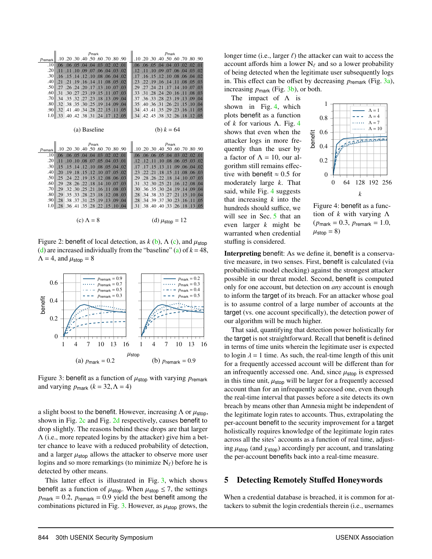<span id="page-6-1"></span>

|                     | $P$ mark                                        | $P$ mark                                    |
|---------------------|-------------------------------------------------|---------------------------------------------|
| $P$ remark          | .10 .20 .30 .40 .50 .60 .70 .80 .90             | .10 .20 .30 .40 .50 .60 .70 .80 .90         |
| .101                | .06 .05 .04 .04 .03 .02 .02 .01                 |                                             |
| .20                 | .11, 11, 10, 09, 07, 06, 04, 03, 02             | .12, .11, .10, .09, .07, .06, .04, .03, .02 |
| .30                 | .16, .15, .14, .12, .10, .08, .06, .04, .02     | .17, 16, 15, 12, 10, 08, 06, 04, 02         |
| .40                 | .21<br>.21, 19, 16, 14, 11, 08, 05, 02          | .23, .22, .16, .14, .11, .08, .05, .23      |
| .5011               | .27 .26 .24 .20 .17 .13 .10 .07 .03             | .29, 07, 08, 17, 14, 10, 07, 03             |
| .60                 | .31 .30 .27 .23 .19 .15 .11 .07 .03             | .33 .31 .28 .24 .20 .16 .11 .08 .03         |
| .701                | .34 .35 .32 .27 .23 .18 .13 .09 .04             | .37 .36 .33 .28 .23 .19 .13 .09 .04         |
| .801                | .32 .38 .35 .30 .25 .19 .14 .09 .04             | .35 .40 .36 .31 .26 .21 .15 .10 .04         |
|                     | .05 .11 .15 .15 .22 .22 .24 .40 .41 .40         | .34 .43 .41 .35 .29 .23 .16 .11 .05         |
| 1.011               | .33 .40 .42 .38 .31 .24 .17 .12 .05             | .34 .42 .45 .38 .32 .26 .18 .12 .05         |
|                     |                                                 |                                             |
| (a) Baseline        |                                                 | (b) $k = 64$                                |
|                     |                                                 |                                             |
|                     |                                                 |                                             |
|                     |                                                 |                                             |
|                     | $p_{\text{mark}}$                               | $p_{\text{mark}}$                           |
| $p_{\text{remark}}$ | .10 .20 .30 .40 .50 .60 .70 .80 .90             | .10 .20 .30 .40 .50 .60 .70 .80 .90         |
| .10 <sup>°</sup>    | .02, 03, 02, 02, 03, 04, 04, 04, 05, 06, 06     | .02, 02, 03, 02, 03, 04, 03, 06, 06, 06     |
| .20                 | .11 .10 .08 .07 .05 .04 .03 .01                 | .12 .12 .11 .10 .08 .06 .05 .03 .02         |
| .30                 | .15, .14, .12, .10, .08, .05, .04, .02          | .17, 15, 13, 11, 09, 06, 04, 02<br>.17      |
| .40                 | .20, 05, 02, 07, 09, 18, 15, 12, 10, 07, 05, 02 | .23, .22, .21, .18, .15, .11, .08, .06, .03 |
| .50                 | .25 .24 .22 .19 .15 .12 .08 .06 .03             | .28 .26 .22 .18 .14 .10 .07 .03<br>.29      |
| .60                 | .29 .28 .26 .22 .18 .14 .10 .07 .03             | .32 .30 .25 .21 .16 .12 .08 .04<br>.31      |
| .70 II              | .29 .32 .30 .25 .21 .16 .11 .08 .03             | .30, .36, .35, .30, .24, .19, .14, .09, .04 |
| .801                | .29 .35 .33 .28 .23 .18 .12 .08 .03             | .28 .34 .38 .33 .27 .21 .15 .10 .04         |
| .90 II              | .28 .37 .31 .25 .19 .13 .09 .04                 | .28 .34 .39 .37 .30 .23 .16 .11 .05         |
| 1.01                | .28 .36 .41 .35 .28 .22 .15 .10 .04             | .31 .38 .40 .40 .33 .26 .18 .13 .05         |
|                     |                                                 |                                             |
|                     | (c) $\Lambda = 8$                               | (d) $\mu_{\text{stop}} = 12$                |

Figure 2: benefit of local detection, as  $k$  [\(b\)](#page-6-1),  $\Lambda$  [\(c\)](#page-6-1), and  $\mu_{\text{stop}}$ [\(d\)](#page-6-1) are increased individually from the "baseline" [\(a\)](#page-6-1) of  $k = 48$ ,  $\Lambda = 4$ , and  $\mu_{\text{stop}} = 8$ 

<span id="page-6-3"></span>

Figure 3: benefit as a function of  $\mu_{\text{stop}}$  with varying  $p_{\text{remark}}$ and varying  $p_{\text{mark}}$  ( $k = 32, \Lambda = 4$ )

a slight boost to the benefit. However, increasing  $\Lambda$  or  $\mu_{\text{stop}}$ , shown in Fig. [2c](#page-6-1) and Fig. [2d](#page-6-1) respectively, causes benefit to drop slightly. The reasons behind these drops are that larger Λ (i.e., more repeated logins by the attacker) give him a better chance to leave with a reduced probability of detection, and a larger  $\mu_{\text{stop}}$  allows the attacker to observe more user logins and so more remarkings (to minimize  $\mathbb{N}_{\ell}$ ) before he is detected by other means.

This latter effect is illustrated in Fig. [3,](#page-6-3) which shows benefit as a function of  $\mu_{\text{stop}}$ . When  $\mu_{\text{stop}} \le 7$ , the settings  $p_{\text{mark}} = 0.2$ ,  $p_{\text{remark}} = 0.9$  yield the best benefit among the combinations pictured in Fig. [3.](#page-6-3) However, as  $\mu_{\text{stop}}$  grows, the

longer time (i.e., larger  $\ell$ ) the attacker can wait to access the account affords him a lower  $\mathbb{N}_\ell$  and so a lower probability of being detected when the legitimate user subsequently logs in. This effect can be offset by decreasing *p*remark (Fig. [3a\)](#page-6-3), increasing *p*mark (Fig. [3b\)](#page-6-3), or both.

The impact of  $\Lambda$  is shown in Fig. [4,](#page-6-2) which plots benefit as a function of *k* for various Λ. Fig. [4](#page-6-2) shows that even when the attacker logs in more frequently than the user by a factor of  $\Lambda = 10$ , our algorithm still remains effective with benefit  $\approx 0.5$  for moderately large *k*. That said, while Fig. [4](#page-6-2) suggests that increasing *k* into the hundreds should suffice, we will see in Sec. [5](#page-6-0) that an even larger *k* might be warranted when credential stuffing is considered.

<span id="page-6-2"></span>

Figure 4: benefit as a function of *k* with varying Λ  $(p_{\text{mark}} = 0.3, p_{\text{remark}} = 1.0,$  $\mu_{\text{stop}} = 8$ )

Interpreting benefit: As we define it, benefit is a conservative measure, in two senses. First, benefit is calculated (via probabilistic model checking) against the strongest attacker possible in our threat model. Second, benefit is computed only for one account, but detection on *any* account is enough to inform the target of its breach. For an attacker whose goal is to assume control of a large number of accounts at the target (vs. one account specifically), the detection power of our algorithm will be much higher.

That said, quantifying that detection power holistically for the target is not straightforward. Recall that benefit is defined in terms of time units wherein the legitimate user is expected to login  $\lambda = 1$  time. As such, the real-time length of this unit for a frequently accessed account will be different than for an infrequently accessed one. And, since  $\mu_{\text{stop}}$  is expressed in this time unit,  $\mu_{\text{stop}}$  will be larger for a frequently accessed account than for an infrequently accessed one, even though the real-time interval that passes before a site detects its own breach by means other than Amnesia might be independent of the legitimate login rates to accounts. Thus, extrapolating the per-account benefit to the security improvement for a target holistically requires knowledge of the legitimate login rates across all the sites' accounts as a function of real time, adjusting  $\mu_{\text{stop}}$  (and  $\chi_{\text{stop}}$ ) accordingly per account, and translating the per-account benefits back into a real-time measure.

### <span id="page-6-0"></span>5 Detecting Remotely Stuffed Honeywords

When a credential database is breached, it is common for attackers to submit the login credentials therein (i.e., usernames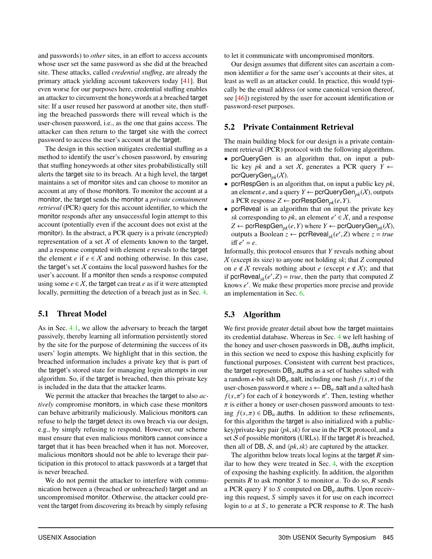and passwords) to *other* sites, in an effort to access accounts whose user set the same password as she did at the breached site. These attacks, called *credential stu*ffi*ng*, are already the primary attack yielding account takeovers today [\[41\]](#page-17-2). But even worse for our purposes here, credential stuffing enables an attacker to circumvent the honeywords at a breached target site: If a user reused her password at another site, then stuffing the breached passwords there will reveal which is the user-chosen password, i.e., as the one that gains access. The attacker can then return to the target site with the correct password to access the user's account at the target.

The design in this section mitigates credential stuffing as a method to identify the user's chosen password, by ensuring that stuffing honeywords at other sites probabilistically still alerts the target site to its breach. At a high level, the target maintains a set of monitor sites and can choose to monitor an account at any of those monitors. To monitor the account at a monitor, the target sends the monitor a *private containment retrieval* (PCR) query for this account identifier, to which the monitor responds after any unsuccessful login attempt to this account (potentially even if the account does not exist at the monitor). In the abstract, a PCR query is a private (encrypted) representation of a set  $X$  of elements known to the target, and a response computed with element *e* reveals to the target the element *e* if  $e \in X$  and nothing otherwise. In this case, the target's set  $X$  contains the local password hashes for the user's account. If a monitor then sends a response computed using some  $e \in X$ , the target can treat *e* as if it were attempted locally, permitting the detection of a breach just as in Sec. [4.](#page-3-3)

## <span id="page-7-0"></span>5.1 Threat Model

As in Sec. [4.1,](#page-3-2) we allow the adversary to breach the target passively, thereby learning all information persistently stored by the site for the purpose of determining the success of its users' login attempts. We highlight that in this section, the breached information includes a private key that is part of the target's stored state for managing login attempts in our algorithm. So, if the target is breached, then this private key is included in the data that the attacker learns.

We permit the attacker that breaches the target to also *actively* compromise monitors, in which case these monitors can behave arbitrarily maliciously. Malicious monitors can refuse to help the target detect its own breach via our design, e.g., by simply refusing to respond. However, our scheme must ensure that even malicious monitors cannot convince a target that it has been breached when it has not. Moreover, malicious monitors should not be able to leverage their participation in this protocol to attack passwords at a target that is never breached.

We do not permit the attacker to interfere with communication between a (breached or unbreached) target and an uncompromised monitor. Otherwise, the attacker could prevent the target from discovering its breach by simply refusing

to let it communicate with uncompromised monitors.

Our design assumes that different sites can ascertain a common identifier *a* for the same user's accounts at their sites, at least as well as an attacker could. In practice, this would typically be the email address (or some canonical version thereof, see [\[46\]](#page-17-12)) registered by the user for account identification or password-reset purposes.

## 5.2 Private Containment Retrieval

The main building block for our design is a private containment retrieval (PCR) protocol with the following algorithms.

- pcrQueryGen is an algorithm that, on input a public key *pk* and a set X, generates a PCR query  $Y \leftarrow$ pcrQueryGen*pk*(X).
- pcrRespGen is an algorithm that, on input a public key *pk*, an element *e*, and a query  $Y \leftarrow \text{pcrQueryGen}_{nk}(X)$ , outputs a PCR response *Z* ← pcrRespGen<sub>nk</sub> $(e, Y)$ .
- pcrReveal is an algorithm that on input the private key *sk* corresponding to *pk*, an element  $e' \in X$ , and a response  $Z \leftarrow \text{pcrRespGen}_{nk}(e, Y)$  where  $Y \leftarrow \text{pcrQueryGen}_{nk}(X)$ , outputs a Boolean *z* ← pcrReveal<sub>sk</sub>(*e*',*Z*) where *z* = *true* iff  $e'$  – *e* iff  $e' = e$ .

Informally, this protocol ensures that *Y* reveals nothing about X (except its size) to anyone not holding *sk*; that *Z* computed on  $e \notin X$  reveals nothing about  $e$  (except  $e \notin X$ ); and that if pcrReveal<sub>*sk*</sub>(*e'*, *Z*) = *true*, then the party that computed *Z*<br>knows *e'* We make these properties more precise and provide knows e'. We make these properties more precise and provide an implementation in Sec. [6.](#page-9-0)

# 5.3 Algorithm

We first provide greater detail about how the target maintains its credential database. Whereas in Sec. [4](#page-3-3) we left hashing of the honey and user-chosen passwords in  $DB<sub>a</sub>$  auths implicit, in this section we need to expose this hashing explicitly for functional purposes. Consistent with current best practices, the target represents  $DB_a$  auths as a set of hashes salted with a random  $\kappa$ -bit salt  $DB_{a}$  salt, including one hash  $f(s,\pi)$  of the user-chosen password  $\pi$  where  $s \leftarrow DB_a$  salt and a salted hash  $f(s, \pi')$  for each of *k* honeywords  $\pi'$ . Then, testing whether  $\pi$  is either a honey or user-chosen password amounts to test.  $\pi$  is either a honey or user-chosen password amounts to testing  $f(s,\pi) \in DB_a$  auths. In addition to these refinements, for this algorithm the target is also initialized with a publickey/private-key pair  $\langle pk, sk \rangle$  for use in the PCR protocol, and a set S of possible monitors (URLs). If the target *R* is breached, then all of DB, S, and  $\langle pk, sk \rangle$  are captured by the attacker.

The algorithm below treats local logins at the target *R* similar to how they were treated in Sec. [4,](#page-3-3) with the exception of exposing the hashing explicitly. In addition, the algorithm permits *R* to ask monitor *S* to monitor *a*. To do so, *R* sends a PCR query *<sup>Y</sup>* to *<sup>S</sup>* computed on DB*<sup>a</sup>* .auths. Upon receiving this request, *S* simply saves it for use on each incorrect login to *a* at *S* , to generate a PCR response to *R*. The hash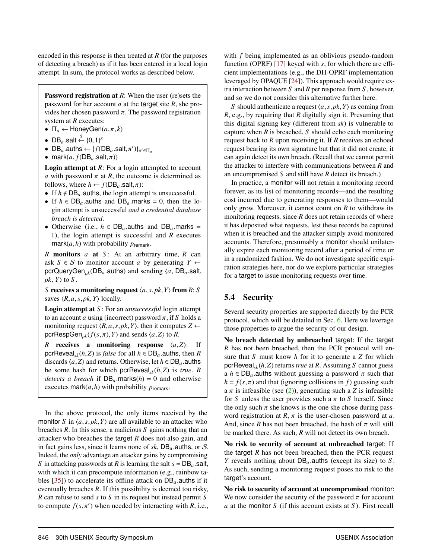encoded in this response is then treated at *R* (for the purposes of detecting a breach) as if it has been entered in a local login attempt. In sum, the protocol works as described below.

Password registration at *R*: When the user (re)sets the password for her account *a* at the target site *R*, she provides her chosen password  $\pi$ . The password registration system at *R* executes:

- $\Pi_a \leftarrow$  Honey Gen $(a, \pi, k)$
- DB<sub>a</sub> salt  $\stackrel{\$}{\leftarrow} \{0,1\}^k$ <br>• DB auths  $\leftarrow$  *f f* (**f**
- DB<sub>a</sub>.auths  $\leftarrow$  { $f(DB_a \text{.salt}, \pi')\}_{\pi' \in \Pi_a}$ <br>• mark(a,  $f(DB_{\text{. salt}}, \pi')$ )
- mark $(a, f(\text{DB}_a.\text{salt}, \pi))$

**Login attempt at**  $R$ **:** For a login attempted to account *a* with password  $\pi$  at *R*, the outcome is determined as follows, where  $h \leftarrow f(\text{DB}_a \text{.salt}, \pi)$ :

- If  $h \notin DB_a$  auths, the login attempt is unsuccessful.
- If  $h \in DB_a$  auths and  $DB_a$  marks = 0, then the login attempt is unsuccessful *and a credential database breach is detected*.
- Otherwise (i.e.,  $h \in DB_a$  auths and  $DB_a$  marks = 1), the login attempt is successful and *R* executes mark $(a, h)$  with probability  $p_{\text{remark}}$ .

*R* monitors *a* at *S* : At an arbitrary time, *R* can ask  $S \in S$  to monitor account *a* by generating  $Y \leftarrow$ pcrQueryGen<sub>nk</sub>(DB<sub>a</sub> .auths) and sending  $\langle a, DB_a$  salt,  $pk$ ,  $Y$  to *S*.

*S* receives a monitoring request  $\langle a, s, pk, Y \rangle$  from *R*: *S* saves  $\langle R, a, s, pk, Y \rangle$  locally.

Login attempt at *S* : For an *unsuccessful* login attempt to an account *a* using (incorrect) password  $\pi$ , if *S* holds a monitoring request  $\langle R, a, s, pk, Y \rangle$ , then it computes  $Z \leftarrow$ pcrRespGen<sub>nk</sub>( $f(s, \pi)$ ,  $Y$ ) and sends  $\langle a, Z \rangle$  to  $R$ .

*R* receives a monitoring response  $\langle a, Z \rangle$ : If pcrReveal<sub>sk</sub> $(h, Z)$  is *false* for all  $h \in DB_a$  auths, then R discards  $\langle a, Z \rangle$  and returns. Otherwise, let  $h \in DB_a$  auths be some hash for which pcrReveal*sk*(*h*,*Z*) is *true*. *<sup>R</sup> detects a breach* if  $DB_a$  marks(*h*) = 0 and otherwise executes mark $(a, h)$  with probability  $p_{\text{remark}}$ .

In the above protocol, the only items received by the monitor *S* in  $\langle a, s, pk, Y \rangle$  are all available to an attacker who breaches *R*. In this sense, a malicious *S* gains nothing that an attacker who breaches the target *R* does not also gain, and in fact gains less, since it learns none of  $sk$ ,  $DB<sub>a</sub>$  auths, or S. Indeed, the *only* advantage an attacker gains by compromising *S* in attacking passwords at *R* is learning the salt  $s = DB_a$  salt, with which it can precompute information (e.g., rainbow tables  $[35]$ ) to accelerate its offline attack on  $DB<sub>a</sub>$  auths if it eventually breaches *R*. If this possibility is deemed too risky, *R* can refuse to send *s* to *S* in its request but instead permit *S* to compute  $f(s, \pi')$  when needed by interacting with *R*, i.e.,

with *f* being implemented as an oblivious pseudo-random function (OPRF) [\[17\]](#page-16-11) keyed with *s*, for which there are efficient implementations (e.g., the DH-OPRF implementation leveraged by OPAQUE [\[24\]](#page-16-12)). This approach would require extra interaction between *S* and *R* per response from *S* , however, and so we do not consider this alternative further here.

*S* should authenticate a request  $\langle a, s, pk, Y \rangle$  as coming from *R*, e.g., by requiring that *R* digitally sign it. Presuming that this digital signing key (different from *sk*) is vulnerable to capture when *R* is breached, *S* should echo each monitoring request back to *R* upon receiving it. If *R* receives an echoed request bearing its own signature but that it did not create, it can again detect its own breach. (Recall that we cannot permit the attacker to interfere with communications between *R* and an uncompromised *S* and still have *R* detect its breach.)

In practice, a monitor will not retain a monitoring record forever, as its list of monitoring records—and the resulting cost incurred due to generating responses to them—would only grow. Moreover, it cannot count on *R* to withdraw its monitoring requests, since  $R$  does not retain records of where it has deposited what requests, lest these records be captured when it is breached and the attacker simply avoid monitored accounts. Therefore, presumably a monitor should unilaterally expire each monitoring record after a period of time or in a randomized fashion. We do not investigate specific expiration strategies here, nor do we explore particular strategies for a target to issue monitoring requests over time.

# <span id="page-8-0"></span>5.4 Security

Several security properties are supported directly by the PCR protocol, which will be detailed in Sec. [6.](#page-9-0) Here we leverage those properties to argue the security of our design.

No breach detected by unbreached target: If the target *R* has not been breached, then the PCR protocol will ensure that *S* must know *h* for it to generate a *Z* for which pcrReveal<sub>sk</sub> $(h, Z)$  returns *true* at *R*. Assuming *S* cannot guess a  $h \in DB_a$  auths without guessing a password  $\pi$  such that  $h = f(s, \pi)$  and that (ignoring collisions in *f*) guessing such a  $\pi$  is infeasible (see [\(2\)](#page-3-1)), generating such a *Z* is infeasible for *S* unless the user provides such a  $\pi$  to *S* herself. Since the only such  $\pi$  she knows is the one she chose during password registration at  $R$ ,  $\pi$  is the user-chosen password at  $a$ . And, since *R* has not been breached, the hash of  $\pi$  will still be marked there. As such, *R* will not detect its own breach.

No risk to security of account at unbreached target: If the target *R* has not been breached, then the PCR request *<sup>Y</sup>* reveals nothing about DB*<sup>a</sup>* .auths (except its size) to *<sup>S</sup>* . As such, sending a monitoring request poses no risk to the target's account.

No risk to security of account at uncompromised monitor: We now consider the security of the password  $\pi$  for account *a* at the monitor *S* (if this account exists at *S* ). First recall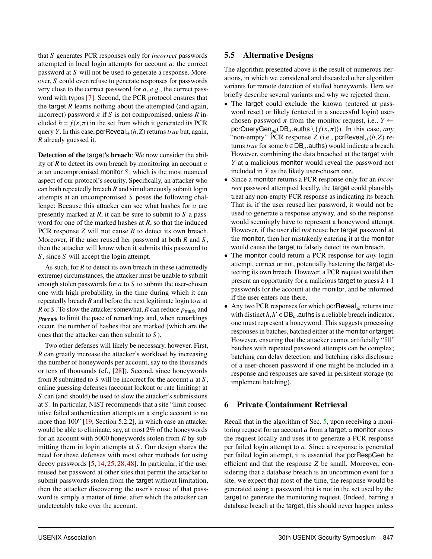that *S* generates PCR responses only for *incorrect* passwords attempted in local login attempts for account *a*; the correct password at *S* will not be used to generate a response. Moreover, *S* could even refuse to generate responses for passwords very close to the correct password for *a*, e.g., the correct password with typos [\[7\]](#page-16-13). Second, the PCR protocol ensures that the target *R* learns nothing about the attempted (and again, incorrect) password  $\pi$  if *S* is not compromised, unless *R* included  $h = f(s, \pi)$  in the set from which it generated its PCR query *<sup>Y</sup>*. In this case, pcrReveal*sk*(*h*,*Z*) returns *true* but, again, *R* already guessed it.

Detection of the target's breach: We now consider the ability of *R* to detect its own breach by monitoring an account *a* at an uncompromised monitor *S* , which is the most nuanced aspect of our protocol's security. Specifically, an attacker who can both repeatedly breach *R* and simultaneously submit login attempts at an uncompromised *S* poses the following challenge: Because this attacker can see what hashes for *a* are presently marked at *R*, it can be sure to submit to *S* a password for one of the marked hashes at *R*, so that the induced PCR response *Z* will not cause *R* to detect its own breach. Moreover, if the user reused her password at both *R* and *S* , then the attacker will know when it submits this password to *S* , since *S* will accept the login attempt.

As such, for *R* to detect its own breach in these (admittedly extreme) circumstances, the attacker must be unable to submit enough stolen passwords for *a* to *S* to submit the user-chosen one with high probability, in the time during which it can repeatedly breach *R* and before the next legitimate login to *a* at *R* or *S*. To slow the attacker somewhat, *R* can reduce  $p_{\text{mark}}$  and *p*remark to limit the pace of remarkings and, when remarkings occur, the number of hashes that are marked (which are the ones that the attacker can then submit to *S* ).

Two other defenses will likely be necessary, however. First, *R* can greatly increase the attacker's workload by increasing the number of honeywords per account, say to the thousands or tens of thousands (cf., [\[28\]](#page-17-5)). Second, since honeywords from *R* submitted to *S* will be incorrect for the account *a* at *S* , online guessing defenses (account lockout or rate limiting) at *S* can (and should) be used to slow the attacker's submissions at *S* . In particular, NIST recommends that a site "limit consecutive failed authentication attempts on a single account to no more than 100" [\[19,](#page-16-14) Section 5.2.2], in which case an attacker would be able to eliminate, say, at most 2% of the honeywords for an account with 5000 honeywords stolen from *R* by submitting them in login attempts at *S* . Our design shares the need for these defenses with most other methods for using decoy passwords [\[5,](#page-16-4) [14,](#page-16-3) [25,](#page-16-1) [28,](#page-17-5) [48\]](#page-17-6). In particular, if the user reused her password at other sites that permit the attacker to submit passwords stolen from the target without limitation, then the attacker discovering the user's reuse of that password is simply a matter of time, after which the attacker can undetectably take over the account.

# 5.5 Alternative Designs

The algorithm presented above is the result of numerous iterations, in which we considered and discarded other algorithm variants for remote detection of stuffed honeywords. Here we briefly describe several variants and why we rejected them.

- The target could exclude the known (entered at password reset) or likely (entered in a successful login) userchosen password  $\pi$  from the monitor request, i.e.,  $Y \leftarrow$ pcrQueryGen<sub>nk</sub>(DB<sub>a</sub> .auths \ { $f(s,\pi)$ }). In this case, *any* "non-empty" PCR response *<sup>Z</sup>* (i.e., pcrReveal*sk*(*h*,*Z*) returns *true* for some  $h \in DB_a$  auths) would indicate a breach. However, combining the data breached at the target with *Y* at a malicious monitor would reveal the password not included in *Y* as the likely user-chosen one.
- Since a monitor returns a PCR response only for an *incorrect* password attempted locally, the target could plausibly treat any non-empty PCR response as indicating its breach. That is, if the user reused her password, it would not be used to generate a response anyway, and so the response would seemingly have to represent a honeyword attempt. However, if the user did *not* reuse her target password at the monitor, then her mistakenly entering it at the monitor would cause the target to falsely detect its own breach.
- The monitor could return a PCR response for *any* login attempt, correct or not, potentially hastening the target detecting its own breach. However, a PCR request would then present an opportunity for a malicious target to guess  $k+1$ passwords for the account at the monitor, and be informed if the user enters one there.
- Any two PCR responses for which pcrReveal<sub>sk</sub> returns true with distinct  $h, h' \in DB_a$  auths is a reliable breach indicator;<br>one must represent a honeyword. This suggests processing one must represent a honeyword. This suggests processing responses in batches, batched either at the monitor or target. However, ensuring that the attacker cannot artificially "fill" batches with repeated password attempts can be complex; batching can delay detection; and batching risks disclosure of a user-chosen password if one might be included in a response and responses are saved in persistent storage (to implement batching).

# <span id="page-9-0"></span>6 Private Containment Retrieval

Recall that in the algorithm of Sec. [5,](#page-6-0) upon receiving a monitoring request for an account *a* from a target, a monitor stores the request locally and uses it to generate a PCR response per failed login attempt to *a*. Since a response is generated per failed login attempt, it is essential that pcrRespGen be efficient and that the response *Z* be small. Moreover, considering that a database breach is an uncommon event for a site, we expect that most of the time, the response would be generated using a password that is not in the set used by the target to generate the monitoring request. (Indeed, barring a database breach at the target, this should never happen unless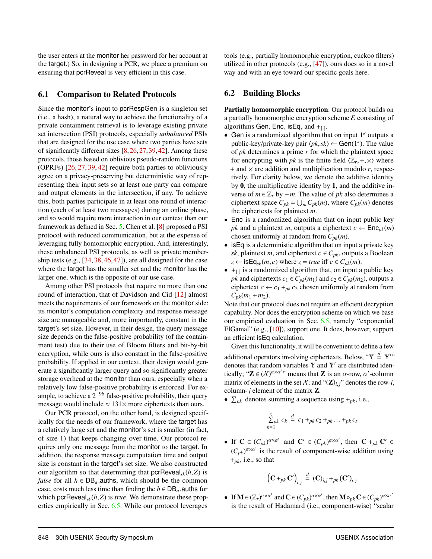the user enters at the monitor her password for her account at the target.) So, in designing a PCR, we place a premium on ensuring that pcrReveal is very efficient in this case.

## 6.1 Comparison to Related Protocols

Since the monitor's input to pcrRespGen is a singleton set (i.e., a hash), a natural way to achieve the functionality of a private containment retrieval is to leverage existing private set intersection (PSI) protocols, especially *unbalanced* PSIs that are designed for the use case where two parties have sets of significantly different sizes [\[8,](#page-16-15) [26,](#page-16-16) [27,](#page-17-14) [39,](#page-17-15) [42\]](#page-17-1). Among these protocols, those based on oblivious pseudo-random functions (OPRFs) [\[26,](#page-16-16) [27,](#page-17-14) [39,](#page-17-15) [42\]](#page-17-1) require both parties to obliviously agree on a privacy-preserving but deterministic way of representing their input sets so at least one party can compare and output elements in the intersection, if any. To achieve this, both parties participate in at least one round of interaction (each of at least two messages) during an online phase, and so would require more interaction in our context than our framework as defined in Sec. [5.](#page-6-0) Chen et al. [\[8\]](#page-16-15) proposed a PSI protocol with reduced communication, but at the expense of leveraging fully homomorphic encryption. And, interestingly, these unbalanced PSI protocols, as well as private membership tests (e.g., [\[34,](#page-17-16) [38,](#page-17-17) [46,](#page-17-12) [47\]](#page-17-18)), are all designed for the case where the target has the smaller set and the monitor has the larger one, which is the opposite of our use case.

Among other PSI protocols that require no more than one round of interaction, that of Davidson and Cid [\[12\]](#page-16-17) almost meets the requirements of our framework on the monitor side: its monitor's computation complexity and response message size are manageable and, more importantly, constant in the target's set size. However, in their design, the query message size depends on the false-positive probability (of the containment test) due to their use of Bloom filters and bit-by-bit encryption, while ours is also constant in the false-positive probability. If applied in our context, their design would generate a significantly larger query and so significantly greater storage overhead at the monitor than ours, especially when a relatively low false-positive probability is enforced. For example, to achieve a  $2^{-96}$  false-positive probability, their query message would include  $\approx 131 \times$  more ciphertexts than ours.

Our PCR protocol, on the other hand, is designed specifically for the needs of our framework, where the target has a relatively large set and the monitor's set is smaller (in fact, of size 1) that keeps changing over time. Our protocol requires only one message from the monitor to the target. In addition, the response message computation time and output size is constant in the target's set size. We also constructed our algorithm so that determining that  $perReveal_{s,k}(h, Z)$  is *false* for all  $h \in DB_a$  auths, which should be the common case, costs much less time than finding the  $h \in DB_a$  auths for which pcrReveal<sub>sk</sub> $(h, Z)$  is *true*. We demonstrate these properties empirically in Sec. [6.5.](#page-13-0) While our protocol leverages

tools (e.g., partially homomorphic encryption, cuckoo filters) utilized in other protocols (e.g., [\[47\]](#page-17-18)), ours does so in a novel way and with an eye toward our specific goals here.

## <span id="page-10-0"></span>6.2 Building Blocks

Partially homomorphic encryption: Our protocol builds on a partially homomorphic encryption scheme  $\mathcal E$  consisting of algorithms Gen, Enc, is Eq, and  $+_{[-]}$ .

- Gen is a randomized algorithm that on input  $1^k$  outputs a public-key/private-key pair  $\langle pk, sk \rangle \leftarrow$  Gen(1<sup>k</sup>). The value of *nk* determines a prime *r* for which the plaintext space of *pk* determines a prime *r* for which the plaintext space for encrypting with *pk* is the finite field  $\langle \mathbb{Z}_r, +, \times \rangle$  where  $\pm$  and  $\times$  are addition and multiplication modulo  $r$ , respectively  $+$  and  $\times$  are addition and multiplication modulo *r*, respectively. For clarity below, we denote the additive identity by 0, the multiplicative identity by 1, and the additive inverse of  $m \in \mathbb{Z}_r$  by  $-m$ . The value of  $pk$  also determines a ciphertext space  $C_{pk} = \bigcup_m C_{pk}(m)$ , where  $C_{pk}(m)$  denotes the ciphertexts for plaintext *m*.
- Enc is a randomized algorithm that on input public key *pk* and a plaintext *m*, outputs a ciphertext  $c \leftarrow \text{Enc}_{pk}(m)$ chosen uniformly at random from *Cpk*(*m*).
- isEq is a deterministic algorithm that on input a private key *sk*, plaintext *m*, and ciphertext  $c \in C_{pk}$ , outputs a Boolean  $z \leftarrow \text{isEq}_{sk}(m, c)$  where  $z = true$  iff  $c \in C_{pk}(m)$ .
- $\bullet$  +<sub>[·]</sub> is a randomized algorithm that, on input a public key *pk* and ciphertexts  $c_1 \in C_{pk}(m_1)$  and  $c_2 \in C_{pk}(m_2)$ , outputs a ciphertext  $c \leftarrow c_1 +_{pk} c_2$  chosen uniformly at random from  $C_{pk}(m_1 + m_2)$ .

Note that our protocol does not require an efficient decryption capability. Nor does the encryption scheme on which we base our empirical evaluation in Sec. [6.5,](#page-13-0) namely "exponential ElGamal" (e.g., [\[10\]](#page-16-18)), support one. It does, however, support an efficient isEq calculation.

Given this functionality, it will be convenient to define a few additional operators involving ciphertexts. Below, " $Y \stackrel{d}{=} Y''$ " denotes that random variables  $Y$  and  $Y'$  are distributed identically; " $\mathbf{Z} \in (\mathcal{X})^{\alpha \times \alpha'}$ " means that  $\mathbf{Z}$  is an  $\alpha$ -row,  $\alpha'$ -column<br>matrix of elements in the set  $\mathbf{X}'$ : and "( $\mathbf{Z}$ ). " denotes the row-i matrix of elements in the set  $\mathcal{X}$ ; and " $(\mathbb{Z})_{i,i}$ " denotes the row-*i*, column-*j* element of the matrix Z.

•  $\sum_{pk}$  denotes summing a sequence using  $+_{pk}$ , i.e.,

$$
\sum_{k=1}^{z} p_k \ c_k \ \stackrel{d}{=} \ c_1 +_{pk} c_2 +_{pk} \ldots +_{pk} c_z
$$

• If  $C \in (C_{pk})^{\alpha \times \alpha'}$  and  $C' \in (C_{pk})^{\alpha \times \alpha'}$ , then  $C +_{pk} C' \in$  $(C_{pk})^{\alpha \times \alpha'}$  is the result of component-wise addition using  $+_{{pk}}$ , i.e., so that

$$
\left(\mathbf{C} +_{pk} \mathbf{C}'\right)_{i,j} \stackrel{d}{=} \left(\mathbf{C}\right)_{i,j} +_{pk} \left(\mathbf{C}'\right)_{i,j}
$$

• If  $\mathbf{M} \in (\mathbb{Z}_r)^{\alpha \times \alpha'}$  and  $\mathbf{C} \in (C_{pk})^{\alpha \times \alpha'}$ , then  $\mathbf{M} \circ_{pk} \mathbf{C} \in (C_{pk})^{\alpha \times \alpha'}$ is the result of Hadamard (i.e., component-wise) "scalar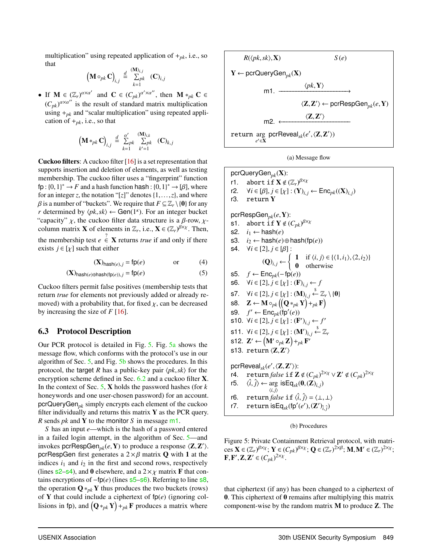multiplication" using repeated application of  $+_{pk}$ , i.e., so that

$$
\left(\mathbf{M}\circ_{pk}\mathbf{C}\right)_{i,j} \stackrel{d}{=} \sum_{k=1}^{(\mathbf{M})_{i,j}} (\mathbf{C})_{i,j}
$$

• If  $\mathbf{M} \in (\mathbb{Z}_r)^{\alpha \times \alpha'}$  and  $\mathbf{C} \in (C_{pk})^{\alpha' \times \alpha''}$ , then  $\mathbf{M} *_{pk} \mathbf{C} \in$  $(C_{pk})^{\alpha \times \alpha''}$  is the result of standard matrix multiplication using  $+_{pk}$  and "scalar multiplication" using repeated application of  $+_{pk}$ , i.e., so that

$$
\left(\mathbf{M} *_{pk} \mathbf{C}\right)_{i,j} \stackrel{d}{=} \sum_{k=1}^{\alpha'} \sum_{k'=1}^{(\mathbf{M})_{i,k}} (\mathbf{C})_{k,j}
$$

Cuckoo filters: A cuckoo filter [\[16\]](#page-16-19) is a set representation that supports insertion and deletion of elements, as well as testing membership. The cuckoo filter uses a "fingerprint" function fp :  $\{0,1\}^* \to F$  and a hash function hash :  $\{0,1\}^* \to [\beta]$ , where<br>for an integer z the notation "[z]" denotes  $\{1, 2, 3\}$  and where for an integer *z*, the notation "[*z*]" denotes  $\{1, \ldots, z\}$ , and where β is a number of "buckets". We require that  $F \subseteq \mathbb{Z}_r \setminus \{0\}$  for any *r* determined by  $\langle pk, sk \rangle \leftarrow$  Gen(1<sup>k</sup>). For an integer bucket  $\langle$ canacity"  $\nu$  the cuckoo filter data structure is a *8*-row  $\nu$ . "capacity"  $\chi$ , the cuckoo filter data structure is a  $\beta$ -row,  $\chi$ column matrix **X** of elements in  $\mathbb{Z}_r$ , i.e., **X**  $\in (\mathbb{Z}_r)^{\beta \times \chi}$ . Then, the membership test  $e \stackrel{?}{\in} \mathbf{X}$  returns *true* if and only if there exists  $j \in [\chi]$  such that either

$$
(\mathbf{X})_{\text{hash}(e),j} = \mathsf{fp}(e) \qquad \text{or} \qquad (4)
$$

$$
(\mathbf{X})_{\text{hash}(e)\oplus\text{hash}(\text{fp}(e)),j} = \text{fp}(e) \tag{5}
$$

Cuckoo filters permit false positives (membership tests that return *true* for elements not previously added or already removed) with a probability that, for fixed  $\chi$ , can be decreased by increasing the size of *F* [\[16\]](#page-16-19).

### 6.3 Protocol Description

Our PCR protocol is detailed in Fig. [5.](#page-11-0) Fig. [5a](#page-11-0) shows the message flow, which conforms with the protocol's use in our algorithm of Sec. [5,](#page-6-0) and Fig. [5b](#page-11-0) shows the procedures. In this protocol, the target *R* has a public-key pair  $\langle pk, sk \rangle$  for the encryption scheme defined in Sec. [6.2](#page-10-0) and a cuckoo filter X. In the context of Sec. [5,](#page-6-0) X holds the password hashes (for *k* honeywords and one user-chosen password) for an account. pcrQueryGen*pk* simply encrypts each element of the cuckoo filter individually and returns this matrix  $Y$  as the PCR query. *R* sends *pk* and Y to the monitor *S* in message [m1](#page-11-1).

*S* has an input *e*—which is the hash of a password entered in a failed login attempt, in the algorithm of Sec. [5—](#page-6-0)and invokes pcrRespGen<sub>pk</sub> $(e, Y)$  to produce a response  $\langle Z, Z' \rangle$ .<br>pcrRespGen first generates a  $2 \times 6$  matrix **O** with 1 at the pcrRespGen first generates a  $2 \times \beta$  matrix Q with 1 at the indices  $i_1$  and  $i_2$  in the first and second rows, respectively (lines  $s2-s4$  $s2-s4$  $s2-s4$ ), and 0 elsewhere, and a  $2\times\chi$  matrix **F** that contains encryptions of −fp(*e*) (lines [s5](#page-11-4)–[s6](#page-11-5)). Referring to line [s8](#page-11-6), the operation Q∗*pk* Y thus produces the two buckets (rows) of Y that could include a ciphertext of fp(*e*) (ignoring collisions in fp), and  $(Q *_{pk} Y) +_{pk} F$  produces a matrix where

<span id="page-11-0"></span>

<span id="page-11-12"></span><span id="page-11-1"></span>

<span id="page-11-6"></span><span id="page-11-5"></span><span id="page-11-4"></span><span id="page-11-3"></span><span id="page-11-2"></span>pcrQueryGen*pk*(X): r1. abort if  $\mathbf{X} \notin (\mathbb{Z}_r)^{\beta \times \chi}$ r2.  $\forall i \in [\beta], j \in [\chi] : (\mathbf{Y})_{i,j} \leftarrow \mathsf{Enc}_{pk}((\mathbf{X})_{i,j})$ <br>r3 return  $\mathbf{Y}$ r3. return Y pcrRespGen*pk*(*e*,Y): s1. abort if  $\mathbf{Y} \notin (C_{pk})^{\beta \times \chi}$ s2.  $i_1$  ← hash(*e*) s3.  $i_2$  ← hash(*e*)⊕hash(fp(*e*)) s4.  $∀i ∈ [2], j ∈ [β]$ :  $(Q)_{i,j} \leftarrow \begin{cases} 1 & \text{if } \langle i,j \rangle \in \{ \langle 1,i_1 \rangle, \langle 2,i_2 \rangle \} \\ 0 & \text{otherwise} \end{cases}$ s5.  $f \leftarrow \text{Enc}_{pk}(\text{-fp}(e))$ s6.  $\forall i \in [2], j \in [\chi] : (\mathbf{F})_{i,j} \leftarrow f$ s7.  $\forall i \in [2], j \in [\chi] : (\mathbf{M})_{i,j} \stackrel{\S}{\leftarrow} \mathbb{Z}_r \setminus \{\mathbf{0}\}$ <br>  $\mathbf{S}^{\mathbf{0}} = \mathbf{X} \in \mathbf{M} \subset \{(\mathbf{O} \setminus \mathbf{N}) \setminus \mathbf{F}\}$ s8.  $\mathbf{Z} \leftarrow \mathbf{M} \circ_{pk} ((\mathbf{Q} *_{pk} \mathbf{Y})^{\perp}_{pk} \mathbf{F})$ s9.  $f'$  ← Enc<sub>*pk</sub>*(fp'(*e*))</sub> **s10.**  $\forall i \in [2], j \in [\chi] : (\mathbf{F}')_{i,j} \leftarrow f'$ **s11.**  $\forall i \in [2], j \in [\chi] : (\mathbf{M}')_{i,j} \stackrel{\$}{\leftarrow} \mathbb{Z}_r$ <br> **012.**  $\mathbf{Z}'$ ,  $(\mathbf{M}' \circ \mathbf{Z})$ ,  $\mathbf{F}'$ s12.  $\mathbf{Z}' \leftarrow (\mathbf{M}' \circ_{pk} \mathbf{Z}) +_{pk} \mathbf{F}'$ s13. return $\langle \mathbf{Z}, \mathbf{Z}' \rangle$ pcrReveal<sub>sk</sub> $(e', \langle \mathbf{Z}, \mathbf{Z}' \rangle)$ :<br>r4 return false i f **7** r4. return *false* if  $\mathbf{Z} \notin (C_{pk})^{2 \times \chi} \vee \mathbf{Z}' \notin (C_{pk})^{2 \times \chi}$ r5. h  $\langle \hat{i}, \hat{j} \rangle \leftarrow \arg_{\langle i,j \rangle} \text{isEq}_{sk}(\mathbf{0}, (\mathbf{Z})_{i,j})$  $f$ <sup>(*i, j*)</sub> =  $\langle \perp, \perp \rangle$ <br>**r7** return **isEq**, (**f**p<sup>*(*(*e*<sup>*/*</sup>) (**7**<sup>/</sup>) a)</sup></sup> r7. return isEq<sub>sk</sub>(fp'(e'),(**Z**')<sub>î,ĵ</sub>)

<span id="page-11-7"></span>(b) Procedures

<span id="page-11-11"></span><span id="page-11-10"></span><span id="page-11-9"></span><span id="page-11-8"></span>Figure 5: Private Containment Retrieval protocol, with matrices  $\mathbf{X} \in (\mathbb{Z}_r)^{\beta \times \chi}$ ;  $\mathbf{Y} \in (C_{pk})^{\beta \times \chi}$ ;  $\mathbf{Q} \in (\mathbb{Z}_r)^{2 \times \beta}$ ;  $\mathbf{M}, \mathbf{M}' \in (\mathbb{Z}_r)^{2 \times \chi}$ ;<br>**F F' Z Z'**  $\in (C, \cdot)^{2 \times \chi}$  $\mathbf{F}, \mathbf{F}', \mathbf{Z}, \mathbf{Z}' \in (C_{pk})^{2 \times \chi}.$ 

that ciphertext (if any) has been changed to a ciphertext of 0. This ciphertext of 0 remains after multiplying this matrix component-wise by the random matrix M to produce Z. The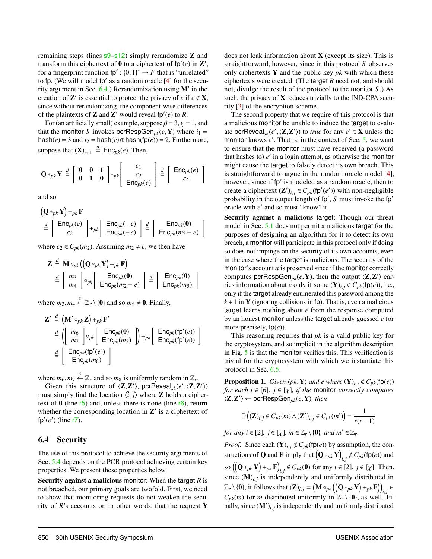remaining steps (lines  $s9- s12$  $s9- s12$  $s9- s12$ ) simply rerandomize **Z** and transform this ciphertext of  $\mathbf{0}$  to a ciphertext of  $\mathbf{fp}'(e)$  in  $\mathbf{Z}'$ , for a fingerprint function  $fp' : \{0,1\}^* \to F$  that is "unrelated"<br>to fp. (We will model fp' as a random oracle [4] for the secuto fp. (We will model fp' as a random oracle  $[4]$  for the security argument in Sec.  $6.4$ .) Rerandomization using M' in the creation of **Z**' is essential to protect the privacy of *e* if  $e \notin \mathbf{X}$ , since without rerandomizing, the component-wise differences of the plaintexts of **Z** and **Z**' would reveal  $\mathsf{fp}'(e)$  to *R*.

For (an artificially small) example, suppose  $\beta = 3$ ,  $\chi = 1$ , and that the monitor *S* invokes pcrRespGen<sub>pk</sub> $(e, Y)$  where  $i_1 =$ hash( $e$ ) = 3 and  $i_2$  = hash( $e$ )  $\oplus$  hash( $fp$ ( $e$ )) = 2. Furthermore, suppose that  $(\mathbf{X})_{i_1,1} \stackrel{d}{=} \text{Enc}_{pk}(e)$ . Then,

$$
\mathbf{Q} *_{pk} \mathbf{Y} \stackrel{d}{=} \left[ \begin{array}{cc} \mathbf{0} & \mathbf{0} & \mathbf{1} \\ \mathbf{0} & \mathbf{1} & \mathbf{0} \end{array} \right] *_{pk} \left[ \begin{array}{c} c_1 \\ c_2 \\ \text{Enc}_{pk}(e) \end{array} \right] \stackrel{d}{=} \left[ \begin{array}{c} \text{Enc}_{pk}(e) \\ c_2 \end{array} \right]
$$

and so

$$
\begin{aligned}\n&\left(\mathbf{Q} *_{pk} \mathbf{Y}\right) +_{pk} \mathbf{F} \\
&\stackrel{d}{=} \left[\begin{array}{c} \mathsf{Enc}_{pk}(e) \\ c_2 \end{array}\right] +_{pk} \left[\begin{array}{c} \mathsf{Enc}_{pk}(-e) \\ \mathsf{Enc}_{pk}(-e) \end{array}\right] \stackrel{d}{=} \left[\begin{array}{c} \mathsf{Enc}_{pk}(\mathbf{0}) \\ \mathsf{Enc}_{pk}(m_2 - e) \end{array}\right]\n\end{aligned}
$$

where  $c_2 \in C_{pk}(m_2)$ . Assuming  $m_2 \neq e$ , we then have

$$
\mathbf{Z} \stackrel{d}{=} \mathbf{M} \circ_{pk} ((\mathbf{Q} *_{pk} \mathbf{Y}) +_{pk} \mathbf{F})
$$
\n
$$
\stackrel{d}{=} \begin{bmatrix} m_3 \\ m_4 \end{bmatrix} \circ_{pk} \begin{bmatrix} \text{Enc}_{pk}(\mathbf{0}) \\ \text{Enc}_{pk}(m_2 - e) \end{bmatrix} \stackrel{d}{=} \begin{bmatrix} \text{Enc}_{pk}(\mathbf{0}) \\ \text{Enc}_{pk}(m_5) \end{bmatrix}
$$

where  $m_3, m_4 \stackrel{s}{\leftarrow} \mathbb{Z}_r \setminus \{0\}$  and so  $m_5 \neq 0$ . Finally,

$$
\mathbf{Z}' \stackrel{d}{=} (\mathbf{M}' \circ_{pk} \mathbf{Z}) +_{pk} \mathbf{F}'
$$
\n
$$
\stackrel{d}{=} \left( \left[ \begin{array}{cc} m_6 \\ m_7 \end{array} \right] \circ_{pk} \left[ \begin{array}{cc} \text{Enc}_{pk}(\mathbf{0}) \\ \text{Enc}_{pk}(m_5) \end{array} \right] \right) +_{pk} \left[ \begin{array}{cc} \text{Enc}_{pk}(\mathbf{fp}'(e)) \\ \text{Enc}_{pk}(\mathbf{fp}'(e)) \end{array} \right]
$$
\n
$$
\stackrel{d}{=} \left[ \begin{array}{cc} \text{Enc}_{pk}(\mathbf{fp}'(e)) \\ \text{Enc}_{pk}(m_8) \end{array} \right]
$$

where  $m_6, m_7 \stackrel{\$}{\leftarrow} \mathbb{Z}_r$  and so  $m_8$  is uniformly random in  $\mathbb{Z}_r$ .<br>Given this structure of  $\langle \mathbf{Z}, \mathbf{Z}' \rangle$  perReveal  $\langle e \rangle / \langle \mathbf{Z}, \mathbf{Z}' \rangle$ 

Given this structure of  $\langle \mathbf{Z}, \mathbf{Z}' \rangle$ , pcrReveal<sub>sk</sub>(*e'*, $\langle \mathbf{Z}, \mathbf{Z}' \rangle$ ) ist simply find the location  $\langle \hat{i} \rangle$  where **Z** holds a cinhermust simply find the location  $\langle \hat{i}, \hat{j} \rangle$  where **Z** holds a cipher-<br>text of **0** (line  $\mathbf{F_2}$ ) and unless there is none (line  $\mathbf{F_3}$ ) return text of  $\theta$  (line r<sub>5</sub>) and, unless there is none (line r<sub>6</sub>), return whether the corresponding location in  $Z'$  is a ciphertext of fp' $(e')$  (line [r7](#page-11-11)).

### <span id="page-12-0"></span>6.4 Security

The use of this protocol to achieve the security arguments of Sec. [5.4](#page-8-0) depends on the PCR protocol achieving certain key properties. We present these properties below.

Security against a malicious monitor: When the target *R* is not breached, our primary goals are twofold. First, we need to show that monitoring requests do not weaken the security of *R*'s accounts or, in other words, that the request Y does not leak information about  $X$  (except its size). This is straightforward, however, since in this protocol *S* observes only ciphertexts Y and the public key *pk* with which these ciphertexts were created. (The target *R* need not, and should not, divulge the result of the protocol to the monitor *S* .) As such, the privacy of  $X$  reduces trivially to the IND-CPA security [\[3\]](#page-15-2) of the encryption scheme.

The second property that we require of this protocol is that a malicious monitor be unable to induce the target to evaluate pcrReveal<sub>sk</sub> $(e', \langle \mathbf{Z}, \mathbf{Z}' \rangle)$  to *true* for any  $e' \in \mathbf{X}$  unless the monitor knows  $e'$ . That is in the context of Sec. 5, we want monitor knows e'. That is, in the context of Sec. [5,](#page-6-0) we want to ensure that the monitor must have received (a password that hashes to)  $e'$  in a login attempt, as otherwise the monitor might cause the target to falsely detect its own breach. This is straightforward to argue in the random oracle model [\[4\]](#page-16-20), however, since if fp' is modeled as a random oracle, then to create a ciphertext  $(\mathbf{Z}')_{i,j} \in C_{pk}(\text{fp}'(e'))$  with non-negligible<br>probability in the output length of  $\text{fp}'$ . *S*, must invoke the  $\text{fp}'$ probability in the output length of fp', *S* must invoke the fp' oracle with *e'* and so must "know" it.

Security against a malicious target: Though our threat model in Sec. [5.1](#page-7-0) does not permit a malicious target for the purposes of designing an algorithm for it to detect its own breach, a monitor will participate in this protocol only if doing so does not impinge on the security of its own accounts, even in the case where the target is malicious. The security of the monitor's account *a* is preserved since if the monitor correctly computes pcrRespGen<sub>pk</sub> $(e, Y)$ , then the output  $\langle Z, Z' \rangle$  car-<br>ries information about e only if some  $(Y)$ ,  $\in C$ ,  $(fn(e))$ , i.e. ries information about *e* only if some  $(Y)_{i,j} \in C_{pk}(\text{fp}(e))$ , i.e., only if the target already enumerated this password among the  $k+1$  in **Y** (ignoring collisions in fp). That is, even a malicious target learns nothing about *e* from the response computed by an honest monitor unless the target already guessed *e* (or more precisely, fp(*e*)).

This reasoning requires that *pk* is a valid public key for the cryptosystem, and so implicit in the algorithm description in Fig. [5](#page-11-0) is that the monitor verifies this. This verification is trivial for the cryptosystem with which we instantiate this protocol in Sec. [6.5.](#page-13-0)

**Proposition 1.** *Given*  $\langle pk, Y \rangle$  *and e where*  $(Y)_{i,j} \notin C_{pk}(\text{fp}(e))$ *for each*  $i \in [\beta]$ *,*  $j \in [\chi]$ *, if the monitor correctly computes*  $\langle \mathbf{Z}, \mathbf{Z}' \rangle \leftarrow \text{pcrRespGen}_{pk}(e, \mathbf{Y})$ *, then* 

$$
\mathbb{P}\big((\mathbf{Z})_{i,j} \in C_{pk}(m) \wedge (\mathbf{Z}')_{i,j} \in C_{pk}(m')\big) = \frac{1}{r(r-1)}
$$

*for any i*  $\in$  [2], *j*  $\in$  [ $\chi$ ], *m*  $\in \mathbb{Z}_r \setminus \{0\}$ , *and m'*  $\in \mathbb{Z}_r$ .

*Proof.* Since each  $(Y)_{i,j} \notin C_{pk}$ (fp(*e*)) by assumption, the constructions of **Q** and **F** imply that  $(Q *_{pk} Y)_{i,i} \notin C_{pk}(\text{fp}(e))$  and  $\left( \mathbf{Q} \cdot p_k \mathbf{Y} \right) + p_k \mathbf{F} \Big|_{i,j} \notin C_{pk}(\mathbf{0})$  for any  $i \in [2]$ ,  $j \in [\chi]$ . Then,  $\sum_{i=1}^{\infty} \left( \left( \sum_{i} p_{i} \right)^{i} p_{i} \right) \right)$  is independently and uniformly distributed in  $\mathbb{Z}_r \setminus \{0\}$ , it follows that  $(\mathbf{Z})_{i,j} = (\mathbf{M} \circ_{pk} ((\mathbf{Q} *_{pk} \mathbf{Y}) +_{pk} \mathbf{F}))_{i,j} \in \mathbb{Z}_r$  $C_{pk}(m)$  for *m* distributed uniformly in  $\mathbb{Z}_r \setminus \{0\}$ , as well. Finally, since  $(M')_{i,j}$  is independently and uniformly distributed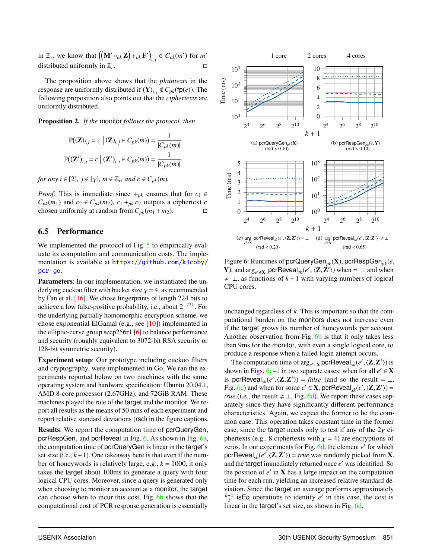in  $\mathbb{Z}_r$ , we know that  $((\mathbf{M}' \circ_{pk} \mathbf{Z}) +_{pk} \mathbf{F}')$ *i*,*j* ∈ *C<sub><i>pk*</sub>(*m*<sup> $\prime$ </sup>) for *m*<sup> $\prime$ </sup> distributed uniformly in  $\mathbb{Z}_r$ . .

The proposition above shows that the *plaintexts* in the response are uniformly distributed if  $(Y)_{i,j} \notin C_{pk}(\text{fp}(e))$ . The following proposition also points out that the *ciphertexts* are uniformly distributed.

Proposition 2. *If the* monitor *follows the protocol, then*

$$
\mathbb{P}((\mathbf{Z})_{i,j} = c \mid (\mathbf{Z})_{i,j} \in C_{pk}(m)) = \frac{1}{|C_{pk}(m)|}
$$

$$
\mathbb{P}((\mathbf{Z'})_{i,j} = c \mid (\mathbf{Z'})_{i,j} \in C_{pk}(m)) = \frac{1}{|C_{pk}(m)|}
$$

*for any*  $i \in [2]$ ,  $j \in [\chi]$ ,  $m \in \mathbb{Z}_r$ , and  $c \in C_{pk}(m)$ .

*Proof.* This is immediate since  $+_{pk}$  ensures that for  $c_1 \in$  $C_{pk}(m_1)$  and  $c_2 \in C_{pk}(m_2)$ ,  $c_1 +_{pk} c_2$  outputs a ciphertext *c* chosen uniformly at random from  $C_{pk}(m_1 + m_2)$ .

## <span id="page-13-0"></span>6.5 Performance

We implemented the protocol of Fig. [5](#page-11-0) to empirically evaluate its computation and communication costs. The implementation is available at [https://github.com/k3coby/](https://github.com/k3coby/pcr-go) [pcr-go](https://github.com/k3coby/pcr-go).

Parameters: In our implementation, we instantiated the underlying cuckoo filter with bucket size  $\chi = 4$ , as recommended by Fan et al. [\[16\]](#page-16-19). We chose fingerprints of length 224 bits to achieve a low false-positive probability, i.e., about  $2^{-221}$ . For the underlying partially homomorphic encryption scheme, we chose exponential ElGamal (e.g., see [\[10\]](#page-16-18)) implemented in the elliptic-curve group secp256r1 [\[6\]](#page-16-21) to balance performance and security (roughly equivalent to 3072-bit RSA security or 128-bit symmetric security).

Experiment setup: Our prototype including cuckoo filters and cryptography, were implemented in Go. We ran the experiments reported below on two machines with the same operating system and hardware specification: Ubuntu 20.04.1, AMD 8-core processor (2.67GHz), and 72GiB RAM. These machines played the role of the target and the monitor. We report all results as the means of 50 runs of each experiment and report relative standard deviations (rsd) in the figure captions.

Results: We report the computation time of pcrQueryGen, pcrRespGen, and pcrReveal in Fig. [6.](#page-13-1) As shown in Fig. [6a,](#page-13-1) the computation time of pcrQueryGen is linear in the target's set size (i.e.,  $k+1$ ). One takeaway here is that even if the number of honeywords is relatively large, e.g.,  $k = 1000$ , it only takes the target about 100ms to generate a query with four logical CPU cores. Moreover, since a query is generated only when choosing to monitor an account at a monitor, the target can choose when to incur this cost. Fig. [6b](#page-13-1) shows that the computational cost of PCR response generation is essentially

<span id="page-13-1"></span>

Figure 6: Runtimes of pcrQueryGen*pk*(X), pcrRespGen*pk*(*e*, **Y**), and  $\arg_{e' \in \mathbf{X}}$  pcrReveal<sub>sk</sub>(*e'*,  $\langle \mathbf{Z}, \mathbf{Z}' \rangle$ ) when = ⊥ and when  $\neq$  ⊥ as functions of  $k+1$  with varying numbers of logical  $\neq \perp$ , as functions of  $k+1$  with varying numbers of logical CPU cores.

unchanged regardless of *k*. This is important so that the computational burden on the monitors does not increase even if the target grows its number of honeywords per account. Another observation from Fig. [6b](#page-13-1) is that it only takes less than 9ms for the monitor, with even a single logical core, to produce a response when a failed login attempt occurs.

The computation time of  $\arg_{e' \in \mathbf{X}} \text{pcrReveal}_{sk}(e', \langle \mathbf{Z}, \mathbf{Z'} \rangle)$  is<br>own in Figs. 6c-d in two separate cases: when for all  $e' \in \mathbf{X}$ shown in Figs.  $6c-d$  in two separate cases: when for all  $e' \in X$ is pcrReveal<sub>sk</sub>(*e'*, $\langle \mathbf{Z}, \mathbf{Z}' \rangle$ ) = *false* (and so the result = ⊥,<br>Fig. 60) and when for some *e'*  $\in \mathbf{X}$  pcrReveal,  $(e' / \mathbf{Z} \mathbf{Z}')$ ) – Fig. [6c\)](#page-13-1) and when for some  $e' \in \mathbf{X}$ , pcrReveal<sub>sk</sub> $(e', \langle \mathbf{Z}, \mathbf{Z'} \rangle)$  = true (i.e., the result  $\pm$  ). Fig. 6d). We report these cases sep*true* (i.e., the result  $\neq \bot$ , Fig. [6d\)](#page-13-1). We report these cases separately since they have significantly different performance characteristics. Again, we expect the former to be the common case. This operation takes constant time in the former case, since the target needs only to test if any of the  $2\chi$  ciphertexts (e.g., 8 ciphertexts with  $\chi$  = 4) are encryptions of zeros. In our experiments for Fig. [6d,](#page-13-1) the element *e'* for which pcrReveal<sub>sk</sub>( $e^r$ , $\langle \mathbf{Z}, \mathbf{Z}' \rangle$ ) = *true* was randomly picked from **X**, and the target immediately returned once  $e'$  was identified. So the position of  $e'$  in  $X$  has a large impact on the computation time for each run, yielding an increased relative standard deviation. Since the target on average performs approximately  $\frac{k+1}{2}$  isEq operations to identify *e'* in this case, the cost is linear in the target's set size, as shown in Fig. [6d.](#page-13-1)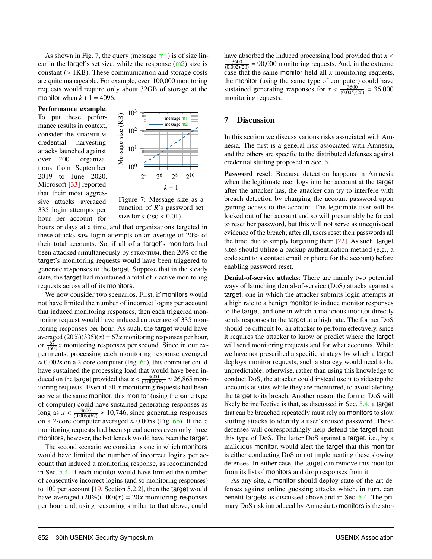As shown in Fig. [7,](#page-14-0) the query (message [m1](#page-11-1)) is of size linear in the target's set size, while the response  $(m2)$  $(m2)$  $(m2)$  size is constant ( $\approx$  1KB). These communication and storage costs are quite manageable. For example, even 100,000 monitoring requests would require only about 32GB of storage at the monitor when  $k + 1 = 4096$ .

#### Performance example:

To put these performance results in context, consider the strontium credential harvesting attacks launched against over 200 organizations from September 2019 to June 2020. Microsoft [\[33\]](#page-17-19) reported that their most aggressive attacks averaged 335 login attempts per hour per account for

<span id="page-14-0"></span>

Figure 7: Message size as a function of *R*'s password set size for  $a$  (rsd  $< 0.01$ )

hours or days at a time, and that organizations targeted in these attacks saw login attempts on an average of 20% of their total accounts. So, if all of a target's monitors had been attacked simultaneously by strontium, then 20% of the target's monitoring requests would have been triggered to generate responses to the target. Suppose that in the steady state, the target had maintained a total of *x* active monitoring requests across all of its monitors.

We now consider two scenarios. First, if monitors would not have limited the number of incorrect logins per account that induced monitoring responses, then each triggered monitoring request would have induced an average of 335 monitoring responses per hour. As such, the target would have averaged  $(20\%)(335)(x) = 67x$  monitoring responses per hour, or  $\frac{67}{3600}x$  monitoring responses per second. Since in our experiments, processing each monitoring response averaged  $\approx 0.002$ s on a 2-core computer (Fig. [6c\)](#page-13-1), this computer could have sustained the processing load that would have been induced on the target provided that  $x < \frac{3600}{(0.002)(67)} \approx 26{,}865$  mon-<br>itoring requests. Even if all x monitoring requests had been itoring requests. Even if all *x* monitoring requests had been active at the same monitor, this monitor (using the same type of computer) could have sustained generating responses as long as  $x < \frac{3600}{(0.005)(67)} \approx 10,746$ , since generating responses<br>on a 2-core computer averaged  $\approx 0.005$ s (Fig. 6b). If the x on a 2-core computer averaged  $\approx 0.005$ s (Fig. [6b\)](#page-13-1). If the *x* monitoring requests had been spread across even only three monitors, however, the bottleneck would have been the target.

The second scenario we consider is one in which monitors would have limited the number of incorrect logins per account that induced a monitoring response, as recommended in Sec. [5.4.](#page-8-0) If each monitor would have limited the number of consecutive incorrect logins (and so monitoring responses) to 100 per account [\[19,](#page-16-14) Section 5.2.2], then the target would have averaged  $(20\%)(100)(x) = 20x$  monitoring responses per hour and, using reasoning similar to that above, could

have absorbed the induced processing load provided that *<sup>x</sup>* <  $\frac{3600}{(0.002)(20)}$  = 90,000 monitoring requests. And, in the extreme<br>case that the same monitor held all x monitoring requests case that the same monitor held all *x* monitoring requests, the monitor (using the same type of computer) could have sustained generating responses for  $x < \frac{3600}{(0.005)(20)} = 36,000$ monitoring requests.

# 7 Discussion

In this section we discuss various risks associated with Amnesia. The first is a general risk associated with Amnesia, and the others are specific to the distributed defenses against credential stuffing proposed in Sec. [5.](#page-6-0)

Password reset: Because detection happens in Amnesia when the legitimate user logs into her account at the target after the attacker has, the attacker can try to interfere with breach detection by changing the account password upon gaining access to the account. The legitimate user will be locked out of her account and so will presumably be forced to reset her password, but this will not serve as unequivocal evidence of the breach; after all, users reset their passwords all the time, due to simply forgetting them [\[22\]](#page-16-22). As such, target sites should utilize a backup authentication method (e.g., a code sent to a contact email or phone for the account) before enabling password reset.

Denial-of-service attacks: There are mainly two potential ways of launching denial-of-service (DoS) attacks against a target: one in which the attacker submits login attempts at a high rate to a benign monitor to induce monitor responses to the target, and one in which a malicious monitor directly sends responses to the target at a high rate. The former DoS should be difficult for an attacker to perform effectively, since it requires the attacker to know or predict where the target will send monitoring requests and for what accounts. While we have not prescribed a specific strategy by which a target deploys monitor requests, such a strategy would need to be unpredictable; otherwise, rather than using this knowledge to conduct DoS, the attacker could instead use it to sidestep the accounts at sites while they are monitored, to avoid alerting the target to its breach. Another reason the former DoS will likely be ineffective is that, as discussed in Sec. [5.4,](#page-8-0) a target that can be breached repeatedly must rely on monitors to slow stuffing attacks to identify a user's reused password. These defenses will correspondingly help defend the target from this type of DoS. The latter DoS against a target, i.e., by a malicious monitor, would alert the target that this monitor is either conducting DoS or not implementing these slowing defenses. In either case, the target can remove this monitor from its list of monitors and drop responses from it.

As any site, a monitor should deploy state-of-the-art defenses against online guessing attacks which, in turn, can benefit targets as discussed above and in Sec. [5.4.](#page-8-0) The primary DoS risk introduced by Amnesia to monitors is the stor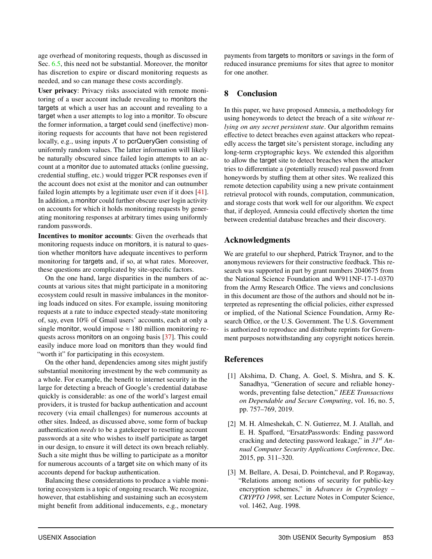age overhead of monitoring requests, though as discussed in Sec. [6.5,](#page-13-0) this need not be substantial. Moreover, the monitor has discretion to expire or discard monitoring requests as needed, and so can manage these costs accordingly.

User privacy: Privacy risks associated with remote monitoring of a user account include revealing to monitors the targets at which a user has an account and revealing to a target when a user attempts to log into a monitor. To obscure the former information, a target could send (ineffective) monitoring requests for accounts that have not been registered locally, e.g., using inputs  $X$  to pcrQueryGen consisting of uniformly random values. The latter information will likely be naturally obscured since failed login attempts to an account at a monitor due to automated attacks (online guessing, credential stuffing, etc.) would trigger PCR responses even if the account does not exist at the monitor and can outnumber failed login attempts by a legitimate user even if it does [\[41\]](#page-17-2). In addition, a monitor could further obscure user login activity on accounts for which it holds monitoring requests by generating monitoring responses at arbitrary times using uniformly random passwords.

Incentives to monitor accounts: Given the overheads that monitoring requests induce on monitors, it is natural to question whether monitors have adequate incentives to perform monitoring for targets and, if so, at what rates. Moreover, these questions are complicated by site-specific factors.

On the one hand, large disparities in the numbers of accounts at various sites that might participate in a monitoring ecosystem could result in massive imbalances in the monitoring loads induced on sites. For example, issuing monitoring requests at a rate to induce expected steady-state monitoring of, say, even 10% of Gmail users' accounts, each at only a single monitor, would impose  $\approx 180$  million monitoring requests across monitors on an ongoing basis [\[37\]](#page-17-20). This could easily induce more load on monitors than they would find "worth it" for participating in this ecosystem.

On the other hand, dependencies among sites might justify substantial monitoring investment by the web community as a whole. For example, the benefit to internet security in the large for detecting a breach of Google's credential database quickly is considerable: as one of the world's largest email providers, it is trusted for backup authentication and account recovery (via email challenges) for numerous accounts at other sites. Indeed, as discussed above, some form of backup authentication *needs* to be a gatekeeper to resetting account passwords at a site who wishes to itself participate as target in our design, to ensure it will detect its own breach reliably. Such a site might thus be willing to participate as a monitor for numerous accounts of a target site on which many of its accounts depend for backup authentication.

Balancing these considerations to produce a viable monitoring ecosystem is a topic of ongoing research. We recognize, however, that establishing and sustaining such an ecosystem might benefit from additional inducements, e.g., monetary

payments from targets to monitors or savings in the form of reduced insurance premiums for sites that agree to monitor for one another.

# 8 Conclusion

In this paper, we have proposed Amnesia, a methodology for using honeywords to detect the breach of a site *without relying on any secret persistent state*. Our algorithm remains effective to detect breaches even against attackers who repeatedly access the target site's persistent storage, including any long-term cryptographic keys. We extended this algorithm to allow the target site to detect breaches when the attacker tries to differentiate a (potentially reused) real password from honeywords by stuffing them at other sites. We realized this remote detection capability using a new private containment retrieval protocol with rounds, computation, communication, and storage costs that work well for our algorithm. We expect that, if deployed, Amnesia could effectively shorten the time between credential database breaches and their discovery.

## Acknowledgments

We are grateful to our shepherd, Patrick Traynor, and to the anonymous reviewers for their constructive feedback. This research was supported in part by grant numbers 2040675 from the National Science Foundation and W911NF-17-1-0370 from the Army Research Office. The views and conclusions in this document are those of the authors and should not be interpreted as representing the official policies, either expressed or implied, of the National Science Foundation, Army Research Office, or the U.S. Government. The U.S. Government is authorized to reproduce and distribute reprints for Government purposes notwithstanding any copyright notices herein.

# References

- <span id="page-15-1"></span>[1] Akshima, D. Chang, A. Goel, S. Mishra, and S. K. Sanadhya, "Generation of secure and reliable honeywords, preventing false detection," *IEEE Transactions on Dependable and Secure Computing*, vol. 16, no. 5, pp. 757–769, 2019.
- <span id="page-15-0"></span>[2] M. H. Almeshekah, C. N. Gutierrez, M. J. Atallah, and E. H. Spafford, "ErsatzPasswords: Ending password cracking and detecting password leakage," in *31st Annual Computer Security Applications Conference*, Dec. 2015, pp. 311–320.
- <span id="page-15-2"></span>[3] M. Bellare, A. Desai, D. Pointcheval, and P. Rogaway, "Relations among notions of security for public-key encryption schemes," in *Advances in Cryptology – CRYPTO 1998*, ser. Lecture Notes in Computer Science, vol. 1462, Aug. 1998.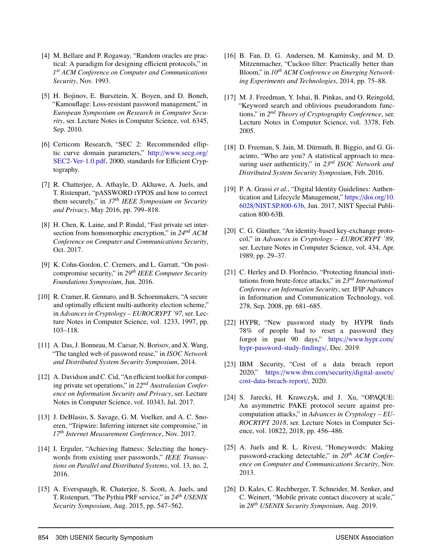- <span id="page-16-20"></span>[4] M. Bellare and P. Rogaway, "Random oracles are practical: A paradigm for designing efficient protocols," in *1 st ACM Conference on Computer and Communications Security*, Nov. 1993.
- <span id="page-16-4"></span>[5] H. Bojinov, E. Bursztein, X. Boyen, and D. Boneh, "Kamouflage: Loss-resistant password management," in *European Symposium on Research in Computer Security*, ser. Lecture Notes in Computer Science, vol. 6345, Sep. 2010.
- <span id="page-16-21"></span>[6] Certicom Research, "SEC 2: Recommended elliptic curve domain parameters," http://[www.secg.org](http://www.secg.org/SEC2-Ver-1.0.pdf)/ [SEC2-Ver-1.0.pdf,](http://www.secg.org/SEC2-Ver-1.0.pdf) 2000, standards for Efficient Cryptography.
- <span id="page-16-13"></span>[7] R. Chatterjee, A. Athayle, D. Akhawe, A. Juels, and T. Ristenpart, "pASSWORD tYPOS and how to correct them securely," in *37th IEEE Symposium on Security and Privacy*, May 2016, pp. 799–818.
- <span id="page-16-15"></span>[8] H. Chen, K. Laine, and P. Rindal, "Fast private set intersection from homomorphic encryption," in *24nd ACM Conference on Computer and Communications Security*, Oct. 2017.
- <span id="page-16-9"></span>[9] K. Cohn-Gordon, C. Cremers, and L. Garratt, "On postcompromise security," in *29th IEEE Computer Security Foundations Symposium*, Jun. 2016.
- <span id="page-16-18"></span>[10] R. Cramer, R. Gennaro, and B. Schoenmakers, "A secure and optimally efficient multi-authority election scheme," in *Advances in Cryptology – EUROCRYPT '97*, ser. Lecture Notes in Computer Science, vol. 1233, 1997, pp. 103–118.
- <span id="page-16-2"></span>[11] A. Das, J. Bonneau, M. Caesar, N. Borisov, and X. Wang, "The tangled web of password reuse," in *ISOC Network and Distributed System Security Symposium*, 2014.
- <span id="page-16-17"></span>[12] A. Davidson and C. Cid, "An efficient toolkit for computing private set operations," in *22nd Australasian Conference on Information Security and Privacy*, ser. Lecture Notes in Computer Science, vol. 10343, Jul. 2017.
- <span id="page-16-6"></span>[13] J. DeBlasio, S. Savage, G. M. Voelker, and A. C. Snoeren, "Tripwire: Inferring internet site compromise," in *17th Internet Measurement Conference*, Nov. 2017.
- <span id="page-16-3"></span>[14] I. Erguler, "Achieving flatness: Selecting the honeywords from existing user passwords," *IEEE Transactions on Parallel and Distributed Systems*, vol. 13, no. 2, 2016.
- <span id="page-16-7"></span>[15] A. Everspaugh, R. Chaterjee, S. Scott, A. Juels, and T. Ristenpart, "The Pythia PRF service," in *24th USENIX Security Symposium*, Aug. 2015, pp. 547–562.
- <span id="page-16-19"></span>[16] B. Fan, D. G. Andersen, M. Kaminsky, and M. D. Mitzenmacher, "Cuckoo filter: Practically better than Bloom," in *10th ACM Conference on Emerging Networking Experiments and Technologies*, 2014, pp. 75–88.
- <span id="page-16-11"></span>[17] M. J. Freedman, Y. Ishai, B. Pinkas, and O. Reingold, "Keyword search and oblivious pseudorandom functions," in *2 nd Theory of Cryptography Conference*, ser. Lecture Notes in Computer Science, vol. 3378, Feb. 2005.
- <span id="page-16-10"></span>[18] D. Freeman, S. Jain, M. Dürmuth, B. Biggio, and G. Giacinto, "Who are you? A statistical approach to measuring user authenticity," in *23rd ISOC Network and Distributed System Security Symposium*, Feb. 2016.
- <span id="page-16-14"></span>[19] P. A. Grassi et al., "Digital Identity Guidelines: Authentication and Lifecycle Management," https://[doi.org](https://doi.org/10.6028/NIST.SP.800-63b)/10. 6028/[NIST.SP.800-63b,](https://doi.org/10.6028/NIST.SP.800-63b) Jun. 2017, NIST Special Publication 800-63B.
- <span id="page-16-8"></span>[20] C. G. Günther, "An identity-based key-exchange protocol," in *Advances in Cryptology – EUROCRYPT '89*, ser. Lecture Notes in Computer Science, vol. 434, Apr. 1989, pp. 29–37.
- <span id="page-16-5"></span>[21] C. Herley and D. Florêncio, "Protecting financial institutions from brute-force attacks," in *23rd International Conference on Information Security*, ser. IFIP Advances in Information and Communication Technology, vol. 278, Sep. 2008, pp. 681–685.
- <span id="page-16-22"></span>[22] HYPR, "New password study by HYPR finds 78% of people had to reset a password they forgot in past 90 days," https://[www.hypr.com](https://www.hypr.com/hypr-password-study-findings/)/ [hypr-password-study-findings](https://www.hypr.com/hypr-password-study-findings/)/, Dec. 2019.
- <span id="page-16-0"></span>[23] IBM Security, "Cost of a data breach report 2020," https://[www.ibm.com](https://www.ibm.com/security/digital-assets/cost-data-breach-report/)/security/digital-assets/ [cost-data-breach-report](https://www.ibm.com/security/digital-assets/cost-data-breach-report/)/, 2020.
- <span id="page-16-12"></span>[24] S. Jarecki, H. Krawczyk, and J. Xu, "OPAQUE: An asymmetric PAKE protocol secure against precomputation attacks," in *Advances in Cryptology – EU-ROCRYPT 2018*, ser. Lecture Notes in Computer Science, vol. 10822, 2018, pp. 456–486.
- <span id="page-16-1"></span>[25] A. Juels and R. L. Rivest, "Honeywords: Making password-cracking detectable," in *20th ACM Conference on Computer and Communications Security*, Nov. 2013.
- <span id="page-16-16"></span>[26] D. Kales, C. Rechberger, T. Schneider, M. Senker, and C. Weinert, "Mobile private contact discovery at scale," in *28th USENIX Security Symposium*, Aug. 2019.